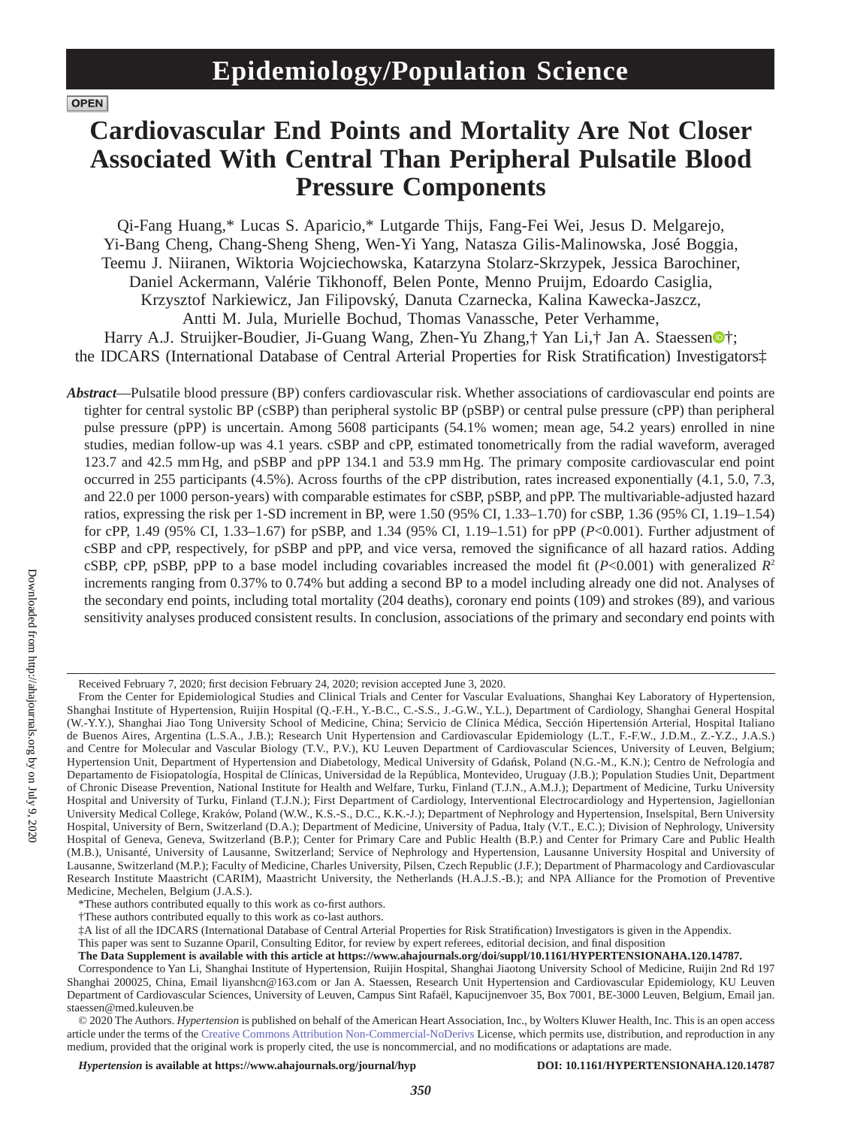# **OPEN**

# **Cardiovascular End Points and Mortality Are Not Closer Associated With Central Than Peripheral Pulsatile Blood Pressure Components**

Qi-Fang Huang,\* Lucas S. Aparicio,\* Lutgarde Thijs, Fang-Fei Wei, Jesus D. Melgarejo, Yi-Bang Cheng, Chang-Sheng Sheng, Wen-Yi Yang, Natasza Gilis-Malinowska, José Boggia, Teemu J. Niiranen, Wiktoria Wojciechowska, Katarzyna Stolarz-Skrzypek, Jessica Barochiner, Daniel Ackermann, Valérie Tikhonoff, Belen Ponte, Menno Pruijm, Edoardo Casiglia, Krzysztof Narkiewicz, Jan Filipovský, Danuta Czarnecka, Kalina Kawecka-Jaszcz, Antti M. Jula, Murielle Bochud, Thomas Vanassche, Peter Verhamme, Harry A.J. Struijker-Boudier, Ji-Gua[n](https://orcid.org/0000-0002-3026-1637)g Wang, Zhen-Yu Zhang,† Yan Li,† Jan A. Staessen<sup>o</sup>†; the IDCARS (International Database of Central Arterial Properties for Risk Stratification) Investigators‡

*Abstract*—Pulsatile blood pressure (BP) confers cardiovascular risk. Whether associations of cardiovascular end points are tighter for central systolic BP (cSBP) than peripheral systolic BP (pSBP) or central pulse pressure (cPP) than peripheral pulse pressure (pPP) is uncertain. Among 5608 participants (54.1% women; mean age, 54.2 years) enrolled in nine studies, median follow-up was 4.1 years. cSBP and cPP, estimated tonometrically from the radial waveform, averaged 123.7 and 42.5 mmHg, and pSBP and pPP 134.1 and 53.9 mmHg. The primary composite cardiovascular end point occurred in 255 participants (4.5%). Across fourths of the cPP distribution, rates increased exponentially (4.1, 5.0, 7.3, and 22.0 per 1000 person-years) with comparable estimates for cSBP, pSBP, and pPP. The multivariable-adjusted hazard ratios, expressing the risk per 1-SD increment in BP, were 1.50 (95% CI, 1.33–1.70) for cSBP, 1.36 (95% CI, 1.19–1.54) for cPP, 1.49 (95% CI, 1.33–1.67) for pSBP, and 1.34 (95% CI, 1.19–1.51) for pPP (*P*<0.001). Further adjustment of cSBP and cPP, respectively, for pSBP and pPP, and vice versa, removed the significance of all hazard ratios. Adding cSBP, cPP, pSBP, pPP to a base model including covariables increased the model fit  $(P< 0.001)$  with generalized  $R<sup>2</sup>$ increments ranging from 0.37% to 0.74% but adding a second BP to a model including already one did not. Analyses of the secondary end points, including total mortality (204 deaths), coronary end points (109) and strokes (89), and various sensitivity analyses produced consistent results. In conclusion, associations of the primary and secondary end points with

This paper was sent to Suzanne Oparil, Consulting Editor, for review by expert referees, editorial decision, and final disposition

Received February 7, 2020; first decision February 24, 2020; revision accepted June 3, 2020.

From the Center for Epidemiological Studies and Clinical Trials and Center for Vascular Evaluations, Shanghai Key Laboratory of Hypertension, Shanghai Institute of Hypertension, Ruijin Hospital (Q.-F.H., Y.-B.C., C.-S.S., J.-G.W., Y.L.), Department of Cardiology, Shanghai General Hospital (W.-Y.Y.), Shanghai Jiao Tong University School of Medicine, China; Servicio de Clínica Médica, Sección Hipertensión Arterial, Hospital Italiano de Buenos Aires, Argentina (L.S.A., J.B.); Research Unit Hypertension and Cardiovascular Epidemiology (L.T., F.-F.W., J.D.M., Z.-Y.Z., J.A.S.) and Centre for Molecular and Vascular Biology (T.V., P.V.), KU Leuven Department of Cardiovascular Sciences, University of Leuven, Belgium; Hypertension Unit, Department of Hypertension and Diabetology, Medical University of Gdańsk, Poland (N.G.-M., K.N.); Centro de Nefrología and Departamento de Fisiopatología, Hospital de Clínicas, Universidad de la República, Montevideo, Uruguay (J.B.); Population Studies Unit, Department of Chronic Disease Prevention, National Institute for Health and Welfare, Turku, Finland (T.J.N., A.M.J.); Department of Medicine, Turku University Hospital and University of Turku, Finland (T.J.N.); First Department of Cardiology, Interventional Electrocardiology and Hypertension, Jagiellonian University Medical College, Kraków, Poland (W.W., K.S.-S., D.C., K.K.-J.); Department of Nephrology and Hypertension, Inselspital, Bern University Hospital, University of Bern, Switzerland (D.A.); Department of Medicine, University of Padua, Italy (V.T., E.C.); Division of Nephrology, University Hospital of Geneva, Geneva, Switzerland (B.P.); Center for Primary Care and Public Health (B.P.) and Center for Primary Care and Public Health (M.B.), Unisanté, University of Lausanne, Switzerland; Service of Nephrology and Hypertension, Lausanne University Hospital and University of Lausanne, Switzerland (M.P.); Faculty of Medicine, Charles University, Pilsen, Czech Republic (J.F.); Department of Pharmacology and Cardiovascular Research Institute Maastricht (CARIM), Maastricht University, the Netherlands (H.A.J.S.-B.); and NPA Alliance for the Promotion of Preventive Medicine, Mechelen, Belgium (J.A.S.).

<sup>\*</sup>These authors contributed equally to this work as co-first authors.

<sup>†</sup>These authors contributed equally to this work as co-last authors.

<sup>‡</sup>A list of all the IDCARS (International Database of Central Arterial Properties for Risk Stratification) Investigators is given in the Appendix.

**The Data Supplement is available with this article at https://www.ahajournals.org/doi/suppl/10.1161/HYPERTENSIONAHA.120.14787.**

Correspondence to Yan Li, Shanghai Institute of Hypertension, Ruijin Hospital, Shanghai Jiaotong University School of Medicine, Ruijin 2nd Rd 197 Shanghai 200025, China, Email [liyanshcn@163.com](mailto:liyanshcn@163.com) or Jan A. Staessen, Research Unit Hypertension and Cardiovascular Epidemiology, KU Leuven Department of Cardiovascular Sciences, University of Leuven, Campus Sint Rafaël, Kapucijnenvoer 35, Box 7001, BE-3000 Leuven, Belgium, Email [jan.](mailto:jan.staessen@med.kuleuven.be) [staessen@med.kuleuven.be](mailto:jan.staessen@med.kuleuven.be)

<sup>© 2020</sup> The Authors. *Hypertension* is published on behalf of the American Heart Association, Inc., by Wolters Kluwer Health, Inc. This is an open access article under the terms of the Creative Commons Attribution Non-Commercial-NoDerivs License, which permits use, distribution, and reproduction in any medium, provided that the original work is properly cited, the use is noncommercial, and no modifications or adaptations are made.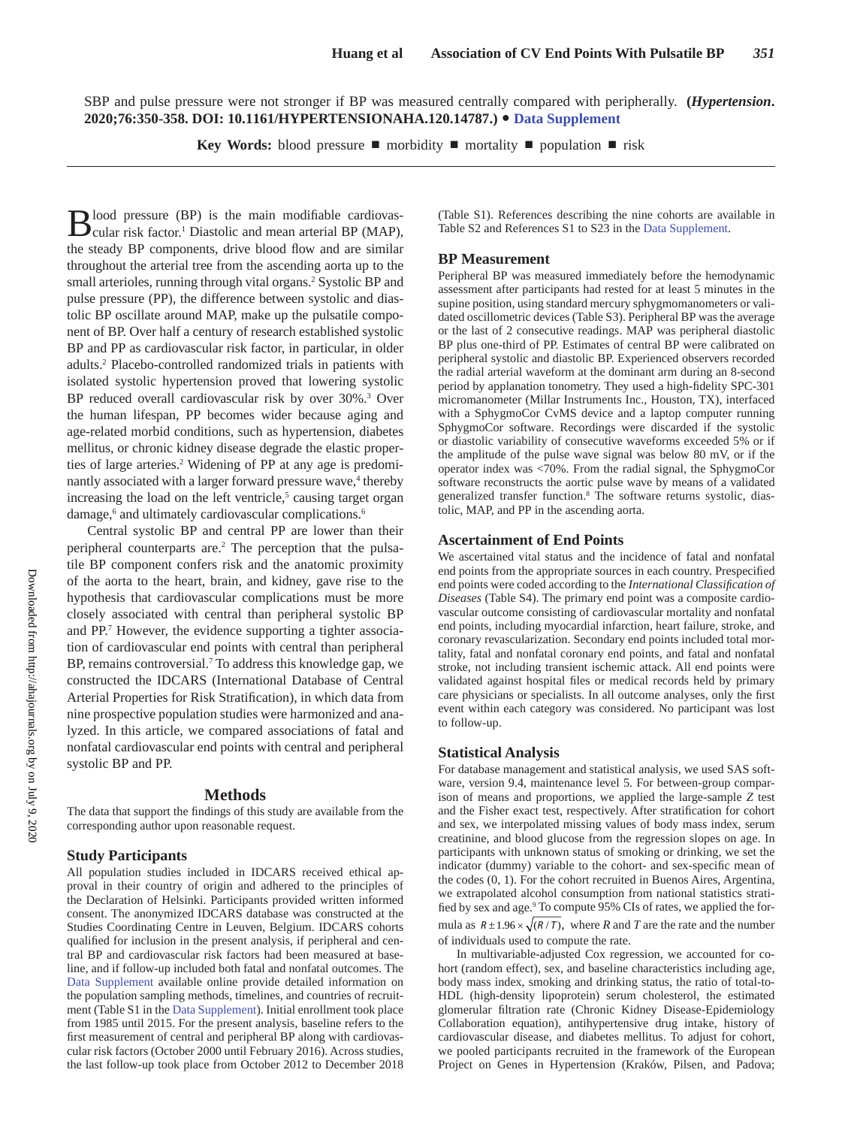SBP and pulse pressure were not stronger if BP was measured centrally compared with peripherally. **(***Hypertension***. 2020;76:350-358. DOI: 10.1161/HYPERTENSIONAHA.120.14787.)**• **Data Supplement**

**Key Words:** blood pressure ■ morbidity ■ mortality ■ population ■ risk

Blood pressure (BP) is the main modifiable cardiovas-cular risk factor.<sup>1</sup> Diastolic and mean arterial BP (MAP), the steady BP components, drive blood flow and are similar throughout the arterial tree from the ascending aorta up to the small arterioles, running through vital organs.<sup>2</sup> Systolic BP and pulse pressure (PP), the difference between systolic and diastolic BP oscillate around MAP, make up the pulsatile component of BP. Over half a century of research established systolic BP and PP as cardiovascular risk factor, in particular, in older adults.2 Placebo-controlled randomized trials in patients with isolated systolic hypertension proved that lowering systolic BP reduced overall cardiovascular risk by over 30%.3 Over the human lifespan, PP becomes wider because aging and age-related morbid conditions, such as hypertension, diabetes mellitus, or chronic kidney disease degrade the elastic properties of large arteries.<sup>2</sup> Widening of PP at any age is predominantly associated with a larger forward pressure wave,<sup>4</sup> thereby increasing the load on the left ventricle,<sup>5</sup> causing target organ damage,<sup>6</sup> and ultimately cardiovascular complications.<sup>6</sup>

Central systolic BP and central PP are lower than their peripheral counterparts are.<sup>2</sup> The perception that the pulsatile BP component confers risk and the anatomic proximity of the aorta to the heart, brain, and kidney, gave rise to the hypothesis that cardiovascular complications must be more closely associated with central than peripheral systolic BP and PP.7 However, the evidence supporting a tighter association of cardiovascular end points with central than peripheral BP, remains controversial.<sup>7</sup> To address this knowledge gap, we constructed the IDCARS (International Database of Central Arterial Properties for Risk Stratification), in which data from nine prospective population studies were harmonized and analyzed. In this article, we compared associations of fatal and nonfatal cardiovascular end points with central and peripheral systolic BP and PP.

#### **Methods**

The data that support the findings of this study are available from the corresponding author upon reasonable request.

#### **Study Participants**

All population studies included in IDCARS received ethical approval in their country of origin and adhered to the principles of the Declaration of Helsinki. Participants provided written informed consent. The anonymized IDCARS database was constructed at the Studies Coordinating Centre in Leuven, Belgium. IDCARS cohorts qualified for inclusion in the present analysis, if peripheral and central BP and cardiovascular risk factors had been measured at baseline, and if follow-up included both fatal and nonfatal outcomes. The Data Supplement available online provide detailed information on the population sampling methods, timelines, and countries of recruitment (Table S1 in the Data Supplement). Initial enrollment took place from 1985 until 2015. For the present analysis, baseline refers to the first measurement of central and peripheral BP along with cardiovascular risk factors (October 2000 until February 2016). Across studies, the last follow-up took place from October 2012 to December 2018

(Table S1). References describing the nine cohorts are available in Table S2 and References S1 to S23 in the Data Supplement.

#### **BP Measurement**

Peripheral BP was measured immediately before the hemodynamic assessment after participants had rested for at least 5 minutes in the supine position, using standard mercury sphygmomanometers or validated oscillometric devices (Table S3). Peripheral BP was the average or the last of 2 consecutive readings. MAP was peripheral diastolic BP plus one-third of PP. Estimates of central BP were calibrated on peripheral systolic and diastolic BP. Experienced observers recorded the radial arterial waveform at the dominant arm during an 8-second period by applanation tonometry. They used a high-fidelity SPC-301 micromanometer (Millar Instruments Inc., Houston, TX), interfaced with a SphygmoCor CvMS device and a laptop computer running SphygmoCor software. Recordings were discarded if the systolic or diastolic variability of consecutive waveforms exceeded 5% or if the amplitude of the pulse wave signal was below 80 mV, or if the operator index was <70%. From the radial signal, the SphygmoCor software reconstructs the aortic pulse wave by means of a validated generalized transfer function.<sup>8</sup> The software returns systolic, diastolic, MAP, and PP in the ascending aorta.

#### **Ascertainment of End Points**

We ascertained vital status and the incidence of fatal and nonfatal end points from the appropriate sources in each country. Prespecified end points were coded according to the *International Classification of Diseases* (Table S4). The primary end point was a composite cardiovascular outcome consisting of cardiovascular mortality and nonfatal end points, including myocardial infarction, heart failure, stroke, and coronary revascularization. Secondary end points included total mortality, fatal and nonfatal coronary end points, and fatal and nonfatal stroke, not including transient ischemic attack. All end points were validated against hospital files or medical records held by primary care physicians or specialists. In all outcome analyses, only the first event within each category was considered. No participant was lost to follow-up.

#### **Statistical Analysis**

For database management and statistical analysis, we used SAS software, version 9.4, maintenance level 5. For between-group comparison of means and proportions, we applied the large-sample *Z* test and the Fisher exact test, respectively. After stratification for cohort and sex, we interpolated missing values of body mass index, serum creatinine, and blood glucose from the regression slopes on age. In participants with unknown status of smoking or drinking, we set the indicator (dummy) variable to the cohort- and sex-specific mean of the codes (0, 1). For the cohort recruited in Buenos Aires, Argentina, we extrapolated alcohol consumption from national statistics stratified by sex and age.<sup>9</sup> To compute 95% CIs of rates, we applied the formula as  $R \pm 1.96 \times \sqrt{(R/T)}$ , where *R* and *T* are the rate and the number of individuals used to compute the rate.

In multivariable-adjusted Cox regression, we accounted for cohort (random effect), sex, and baseline characteristics including age, body mass index, smoking and drinking status, the ratio of total-to-HDL (high-density lipoprotein) serum cholesterol, the estimated glomerular filtration rate (Chronic Kidney Disease-Epidemiology Collaboration equation), antihypertensive drug intake, history of cardiovascular disease, and diabetes mellitus. To adjust for cohort, we pooled participants recruited in the framework of the European Project on Genes in Hypertension (Kraków, Pilsen, and Padova;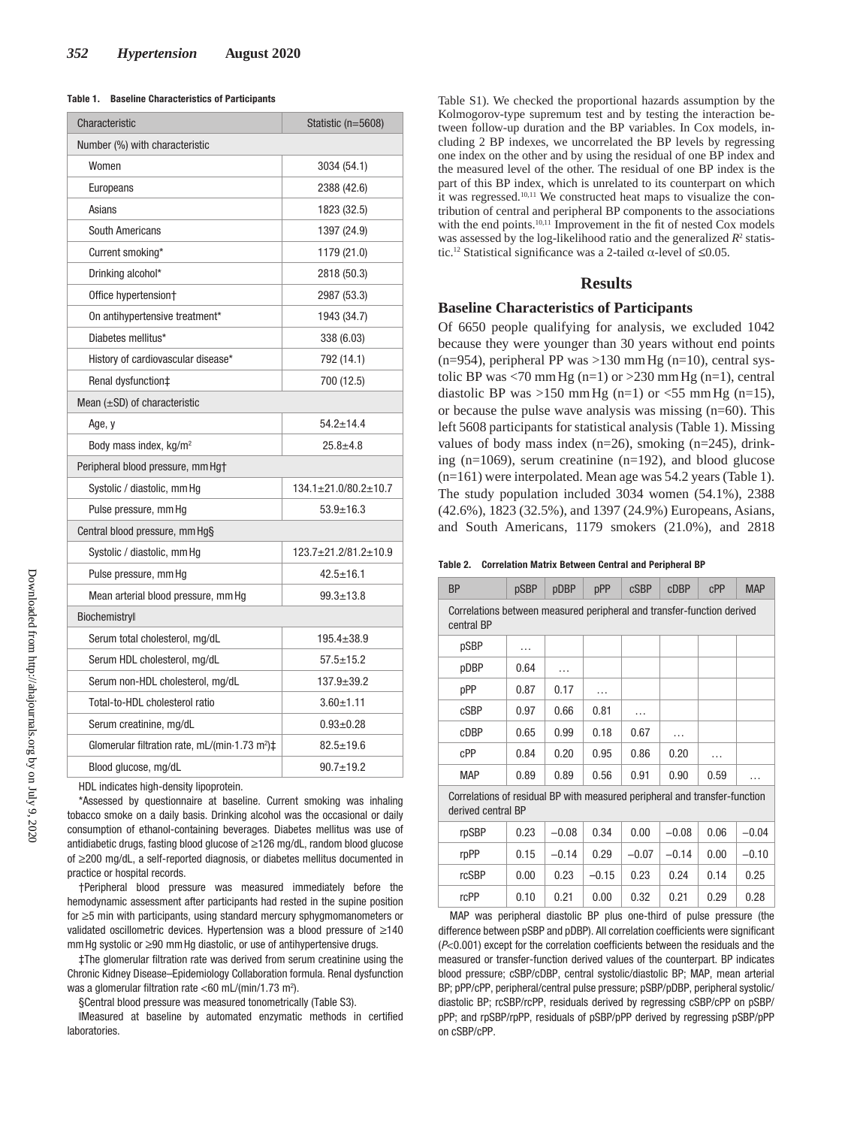| Table 1. | <b>Baseline Characteristics of Participants</b> |
|----------|-------------------------------------------------|
|----------|-------------------------------------------------|

| Characteristic                                                               | Statistic (n=5608)             |  |  |  |
|------------------------------------------------------------------------------|--------------------------------|--|--|--|
| Number (%) with characteristic                                               |                                |  |  |  |
| Women                                                                        | 3034 (54.1)                    |  |  |  |
| Europeans                                                                    | 2388 (42.6)                    |  |  |  |
| Asians                                                                       | 1823 (32.5)                    |  |  |  |
| <b>South Americans</b>                                                       | 1397 (24.9)                    |  |  |  |
| Current smoking*                                                             | 1179 (21.0)                    |  |  |  |
| Drinking alcohol*                                                            | 2818 (50.3)                    |  |  |  |
| Office hypertension+                                                         | 2987 (53.3)                    |  |  |  |
| On antihypertensive treatment*                                               | 1943 (34.7)                    |  |  |  |
| Diabetes mellitus*                                                           | 338 (6.03)                     |  |  |  |
| History of cardiovascular disease*                                           | 792 (14.1)                     |  |  |  |
| Renal dysfunction‡                                                           | 700 (12.5)                     |  |  |  |
| Mean $(\pm SD)$ of characteristic                                            |                                |  |  |  |
| Age, y                                                                       | $54.2 \pm 14.4$                |  |  |  |
| Body mass index, kg/m <sup>2</sup>                                           | $25.8 + 4.8$                   |  |  |  |
| Peripheral blood pressure, mm Hg+                                            |                                |  |  |  |
| Systolic / diastolic, mm Hg                                                  | $134.1 \pm 21.0/80.2 \pm 10.7$ |  |  |  |
| Pulse pressure, mm Hg                                                        | $53.9 + 16.3$                  |  |  |  |
| Central blood pressure, mm Hg§                                               |                                |  |  |  |
| Systolic / diastolic, mm Hg                                                  | $123.7 \pm 21.2/81.2 \pm 10.9$ |  |  |  |
| Pulse pressure, mm Hg                                                        | $42.5 \pm 16.1$                |  |  |  |
| Mean arterial blood pressure, mm Hg                                          | $99.3 \pm 13.8$                |  |  |  |
| Biochemistryll                                                               |                                |  |  |  |
| Serum total cholesterol, mg/dL                                               | $195.4 \pm 38.9$               |  |  |  |
| Serum HDL cholesterol, mg/dL                                                 | $57.5 \pm 15.2$                |  |  |  |
| Serum non-HDL cholesterol, mg/dL                                             | $137.9 + 39.2$                 |  |  |  |
| Total-to-HDL cholesterol ratio                                               | $3.60 + 1.11$                  |  |  |  |
| Serum creatinine, mg/dL                                                      | $0.93 + 0.28$                  |  |  |  |
| Glomerular filtration rate, mL/(min $\cdot$ 1.73 m <sup>2</sup> ) $\ddagger$ | $82.5 \pm 19.6$                |  |  |  |
| Blood glucose, mg/dL                                                         | $90.7 + 19.2$                  |  |  |  |

HDL indicates high-density lipoprotein.

\*Assessed by questionnaire at baseline. Current smoking was inhaling tobacco smoke on a daily basis. Drinking alcohol was the occasional or daily consumption of ethanol-containing beverages. Diabetes mellitus was use of antidiabetic drugs, fasting blood glucose of ≥126 mg/dL, random blood glucose of ≥200 mg/dL, a self-reported diagnosis, or diabetes mellitus documented in practice or hospital records.

†Peripheral blood pressure was measured immediately before the hemodynamic assessment after participants had rested in the supine position for ≥5 min with participants, using standard mercury sphygmomanometers or validated oscillometric devices. Hypertension was a blood pressure of ≥140 mmHg systolic or ≥90 mmHg diastolic, or use of antihypertensive drugs.

‡The glomerular filtration rate was derived from serum creatinine using the Chronic Kidney Disease–Epidemiology Collaboration formula. Renal dysfunction was a glomerular filtration rate <60 mL/(min/1.73 m<sup>2</sup>).

§Central blood pressure was measured tonometrically (Table S3).

‖Measured at baseline by automated enzymatic methods in certified laboratories.

Table S1). We checked the proportional hazards assumption by the Kolmogorov-type supremum test and by testing the interaction between follow-up duration and the BP variables. In Cox models, including 2 BP indexes, we uncorrelated the BP levels by regressing one index on the other and by using the residual of one BP index and the measured level of the other. The residual of one BP index is the part of this BP index, which is unrelated to its counterpart on which it was regressed.10,11 We constructed heat maps to visualize the contribution of central and peripheral BP components to the associations with the end points.<sup>10,11</sup> Improvement in the fit of nested Cox models was assessed by the log-likelihood ratio and the generalized  $R<sup>2</sup>$  statistic.<sup>12</sup> Statistical significance was a 2-tailed α-level of  $\leq$ 0.05.

## **Results**

#### **Baseline Characteristics of Participants**

Of 6650 people qualifying for analysis, we excluded 1042 because they were younger than 30 years without end points  $(n=954)$ , peripheral PP was >130 mm Hg  $(n=10)$ , central systolic BP was <70 mm Hg (n=1) or >230 mm Hg (n=1), central diastolic BP was  $>150$  mmHg (n=1) or  $<$ 55 mmHg (n=15), or because the pulse wave analysis was missing (n=60). This left 5608 participants for statistical analysis (Table 1). Missing values of body mass index  $(n=26)$ , smoking  $(n=245)$ , drinking (n=1069), serum creatinine (n=192), and blood glucose (n=161) were interpolated. Mean age was 54.2 years (Table 1). The study population included 3034 women (54.1%), 2388 (42.6%), 1823 (32.5%), and 1397 (24.9%) Europeans, Asians, and South Americans, 1179 smokers (21.0%), and 2818

| Table 2. |  |  |  | <b>Correlation Matrix Between Central and Peripheral BP</b> |
|----------|--|--|--|-------------------------------------------------------------|
|----------|--|--|--|-------------------------------------------------------------|

| <b>BP</b>                                                                            | pSBP                                                                                             | pDBP    | pPP     | <b>cSBP</b> | <b>cDBP</b> | CPP  | <b>MAP</b> |  |  |
|--------------------------------------------------------------------------------------|--------------------------------------------------------------------------------------------------|---------|---------|-------------|-------------|------|------------|--|--|
| Correlations between measured peripheral and transfer-function derived<br>central BP |                                                                                                  |         |         |             |             |      |            |  |  |
| pSBP                                                                                 | $\cdots$                                                                                         |         |         |             |             |      |            |  |  |
| pDBP                                                                                 | 0.64                                                                                             | .       |         |             |             |      |            |  |  |
| pPP                                                                                  | 0.87                                                                                             | 0.17    | .       |             |             |      |            |  |  |
| cSBP                                                                                 | 0.97                                                                                             | 0.66    | 0.81    | .           |             |      |            |  |  |
| cDBP                                                                                 | 0.65                                                                                             | 0.99    | 0.18    | 0.67        | .           |      |            |  |  |
| cPP                                                                                  | 0.84                                                                                             | 0.20    | 0.95    | 0.86        | 0.20        | .    |            |  |  |
| <b>MAP</b>                                                                           | 0.89                                                                                             | 0.89    | 0.56    | 0.91        | 0.90        | 0.59 | .          |  |  |
|                                                                                      | Correlations of residual BP with measured peripheral and transfer-function<br>derived central BP |         |         |             |             |      |            |  |  |
| rpSBP                                                                                | 0.23                                                                                             | $-0.08$ | 0.34    | 0.00        | $-0.08$     | 0.06 | $-0.04$    |  |  |
| rpPP                                                                                 | 0.15                                                                                             | $-0.14$ | 0.29    | $-0.07$     | $-0.14$     | 0.00 | $-0.10$    |  |  |
| rcSBP                                                                                | 0.00                                                                                             | 0.23    | $-0.15$ | 0.23        | 0.24        | 0.14 | 0.25       |  |  |
| rcPP                                                                                 | 0.10                                                                                             | 0.21    | 0.00    | 0.32        | 0.21        | 0.29 | 0.28       |  |  |

MAP was peripheral diastolic BP plus one-third of pulse pressure (the difference between pSBP and pDBP). All correlation coefficients were significant (P<0.001) except for the correlation coefficients between the residuals and the measured or transfer-function derived values of the counterpart. BP indicates blood pressure; cSBP/cDBP, central systolic/diastolic BP; MAP, mean arterial BP; pPP/cPP, peripheral/central pulse pressure; pSBP/pDBP, peripheral systolic/ diastolic BP; rcSBP/rcPP, residuals derived by regressing cSBP/cPP on pSBP/ pPP; and rpSBP/rpPP, residuals of pSBP/pPP derived by regressing pSBP/pPP on cSBP/cPP.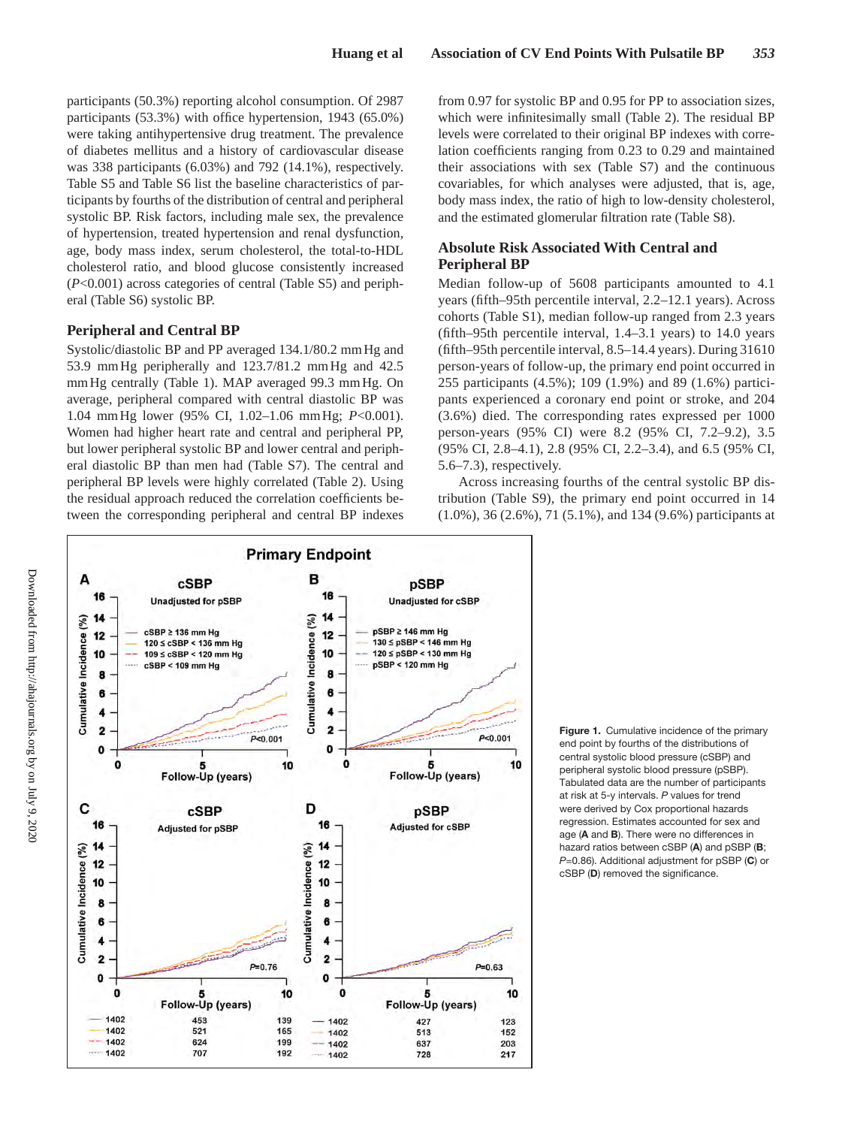participants (50.3%) reporting alcohol consumption. Of 2987 participants (53.3%) with office hypertension, 1943 (65.0%) were taking antihypertensive drug treatment. The prevalence of diabetes mellitus and a history of cardiovascular disease was 338 participants (6.03%) and 792 (14.1%), respectively. Table S5 and Table S6 list the baseline characteristics of participants by fourths of the distribution of central and peripheral systolic BP. Risk factors, including male sex, the prevalence of hypertension, treated hypertension and renal dysfunction, age, body mass index, serum cholesterol, the total-to-HDL cholesterol ratio, and blood glucose consistently increased (*P*<0.001) across categories of central (Table S5) and peripheral (Table S6) systolic BP.

# **Peripheral and Central BP**

Systolic/diastolic BP and PP averaged 134.1/80.2 mm Hg and 53.9 mmHg peripherally and 123.7/81.2 mmHg and 42.5 mmHg centrally (Table 1). MAP averaged 99.3 mmHg. On average, peripheral compared with central diastolic BP was 1.04 mmHg lower (95% CI, 1.02–1.06 mmHg; *P*<0.001). Women had higher heart rate and central and peripheral PP, but lower peripheral systolic BP and lower central and peripheral diastolic BP than men had (Table S7). The central and peripheral BP levels were highly correlated (Table 2). Using the residual approach reduced the correlation coefficients between the corresponding peripheral and central BP indexes from 0.97 for systolic BP and 0.95 for PP to association sizes, which were infinitesimally small (Table 2). The residual BP levels were correlated to their original BP indexes with correlation coefficients ranging from 0.23 to 0.29 and maintained their associations with sex (Table S7) and the continuous covariables, for which analyses were adjusted, that is, age, body mass index, the ratio of high to low-density cholesterol, and the estimated glomerular filtration rate (Table S8).

# **Absolute Risk Associated With Central and Peripheral BP**

Median follow-up of 5608 participants amounted to 4.1 years (fifth–95th percentile interval, 2.2–12.1 years). Across cohorts (Table S1), median follow-up ranged from 2.3 years (fifth–95th percentile interval, 1.4–3.1 years) to 14.0 years (fifth–95th percentile interval, 8.5–14.4 years). During 31610 person-years of follow-up, the primary end point occurred in 255 participants (4.5%); 109 (1.9%) and 89 (1.6%) participants experienced a coronary end point or stroke, and 204 (3.6%) died. The corresponding rates expressed per 1000 person-years (95% CI) were 8.2 (95% CI, 7.2–9.2), 3.5 (95% CI, 2.8–4.1), 2.8 (95% CI, 2.2–3.4), and 6.5 (95% CI, 5.6–7.3), respectively.

Across increasing fourths of the central systolic BP distribution (Table S9), the primary end point occurred in 14 (1.0%), 36 (2.6%), 71 (5.1%), and 134 (9.6%) participants at



**Figure 1.** Cumulative incidence of the primary end point by fourths of the distributions of central systolic blood pressure (cSBP) and peripheral systolic blood pressure (pSBP). Tabulated data are the number of participants at risk at 5-y intervals. *P* values for trend were derived by Cox proportional hazards regression. Estimates accounted for sex and age (**A** and **B**). There were no differences in hazard ratios between cSBP (**A**) and pSBP (**B**; *P*=0.86). Additional adjustment for pSBP (**C**) or cSBP (**D**) removed the significance.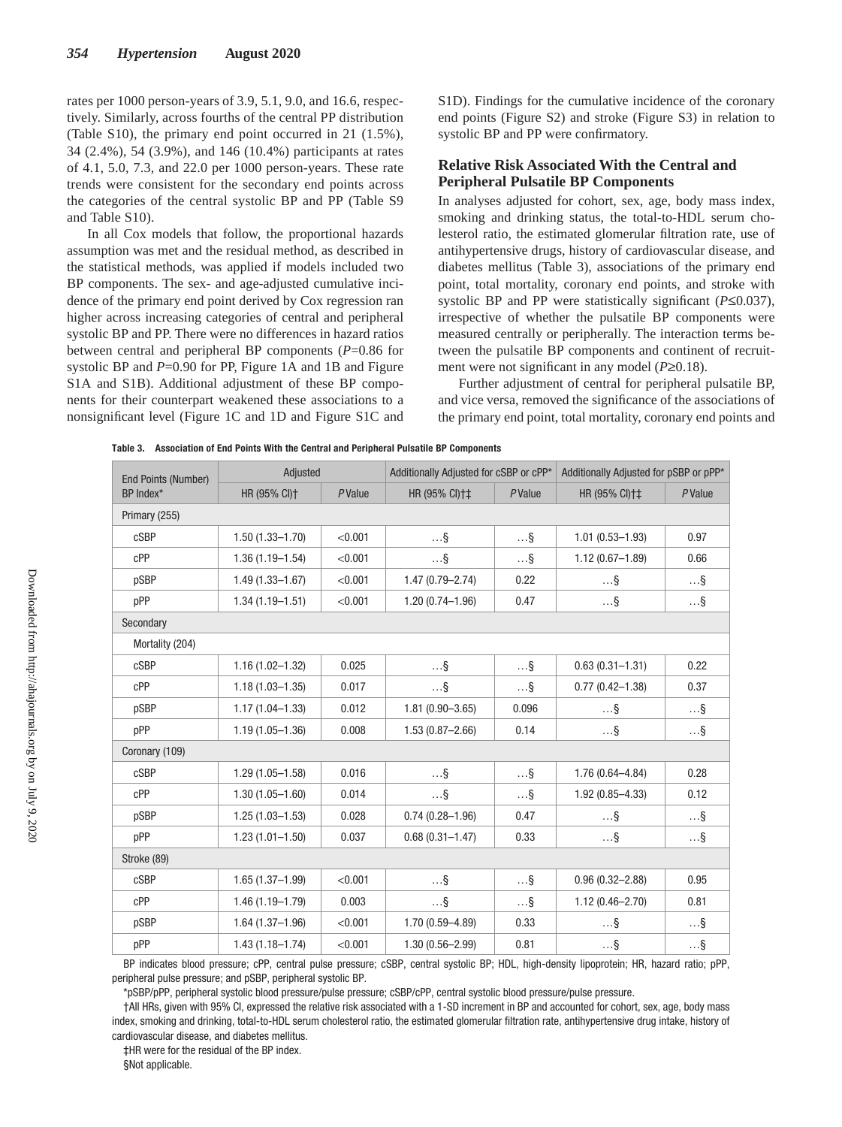rates per 1000 person-years of 3.9, 5.1, 9.0, and 16.6, respectively. Similarly, across fourths of the central PP distribution (Table S10), the primary end point occurred in 21 (1.5%), 34 (2.4%), 54 (3.9%), and 146 (10.4%) participants at rates of 4.1, 5.0, 7.3, and 22.0 per 1000 person-years. These rate trends were consistent for the secondary end points across the categories of the central systolic BP and PP (Table S9 and Table S10).

In all Cox models that follow, the proportional hazards assumption was met and the residual method, as described in the statistical methods, was applied if models included two BP components. The sex- and age-adjusted cumulative incidence of the primary end point derived by Cox regression ran higher across increasing categories of central and peripheral systolic BP and PP. There were no differences in hazard ratios between central and peripheral BP components (*P*=0.86 for systolic BP and *P*=0.90 for PP, Figure 1A and 1B and Figure S1A and S1B). Additional adjustment of these BP components for their counterpart weakened these associations to a nonsignificant level (Figure 1C and 1D and Figure S1C and S1D). Findings for the cumulative incidence of the coronary end points (Figure S2) and stroke (Figure S3) in relation to systolic BP and PP were confirmatory.

# **Relative Risk Associated With the Central and Peripheral Pulsatile BP Components**

In analyses adjusted for cohort, sex, age, body mass index, smoking and drinking status, the total-to-HDL serum cholesterol ratio, the estimated glomerular filtration rate, use of antihypertensive drugs, history of cardiovascular disease, and diabetes mellitus (Table 3), associations of the primary end point, total mortality, coronary end points, and stroke with systolic BP and PP were statistically significant (*P*≤0.037), irrespective of whether the pulsatile BP components were measured centrally or peripherally. The interaction terms between the pulsatile BP components and continent of recruitment were not significant in any model (*P*≥0.18).

Further adjustment of central for peripheral pulsatile BP, and vice versa, removed the significance of the associations of the primary end point, total mortality, coronary end points and

| <b>End Points (Number)</b> | Adjusted            |         | Additionally Adjusted for cSBP or cPP* |            | Additionally Adjusted for pSBP or pPP* |            |  |
|----------------------------|---------------------|---------|----------------------------------------|------------|----------------------------------------|------------|--|
| BP Index*                  | HR (95% CI)+        | PValue  | HR (95% CI)++                          | PValue     | HR (95% CI)++                          | PValue     |  |
| Primary (255)              |                     |         |                                        |            |                                        |            |  |
| cSBP                       | $1.50(1.33 - 1.70)$ | < 0.001 | $\ldots$ §                             | $\ldots$ § | $1.01(0.53 - 1.93)$                    | 0.97       |  |
| cPP                        | $1.36(1.19 - 1.54)$ | < 0.001 | $\ldots\$                              | $\ldots$ § | $1.12(0.67 - 1.89)$                    | 0.66       |  |
| pSBP                       | $1.49(1.33 - 1.67)$ | < 0.001 | $1.47(0.79 - 2.74)$                    | 0.22       | $\ldots$ §                             | $\ldots$ § |  |
| pPP                        | $1.34(1.19 - 1.51)$ | < 0.001 | $1.20(0.74 - 1.96)$                    | 0.47       | $\ldots$ §                             | $\ldots$ § |  |
| Secondary                  |                     |         |                                        |            |                                        |            |  |
| Mortality (204)            |                     |         |                                        |            |                                        |            |  |
| cSBP                       | $1.16(1.02 - 1.32)$ | 0.025   | $\ldots$ §                             | $\ldots$ § | $0.63(0.31 - 1.31)$                    | 0.22       |  |
| cPP                        | $1.18(1.03 - 1.35)$ | 0.017   | $\ldots$ §                             | $\ldots$ § | $0.77(0.42 - 1.38)$                    | 0.37       |  |
| pSBP                       | $1.17(1.04 - 1.33)$ | 0.012   | $1.81(0.90 - 3.65)$                    | 0.096      | $\ldots$ §                             | $\ldots$ § |  |
| pPP                        | $1.19(1.05 - 1.36)$ | 0.008   | $1.53(0.87 - 2.66)$                    | 0.14       | $\ldots$ §                             | $\ldots$ § |  |
| Coronary (109)             |                     |         |                                        |            |                                        |            |  |
| cSBP                       | $1.29(1.05 - 1.58)$ | 0.016   | $\ldots$ §                             | $\ldots\$  | 1.76 (0.64-4.84)                       | 0.28       |  |
| cPP                        | $1.30(1.05 - 1.60)$ | 0.014   | $\ldots$ §                             | $\ldots$ § | $1.92(0.85 - 4.33)$                    | 0.12       |  |
| pSBP                       | $1.25(1.03 - 1.53)$ | 0.028   | $0.74(0.28 - 1.96)$                    | 0.47       | $\ldots$ §                             | $\ldots$ § |  |
| pPP                        | $1.23(1.01 - 1.50)$ | 0.037   | $0.68(0.31 - 1.47)$                    | 0.33       | $\ldots$ §                             | $\ldots$ § |  |
| Stroke (89)                |                     |         |                                        |            |                                        |            |  |
| cSBP                       | $1.65(1.37 - 1.99)$ | < 0.001 | $\ldots$ §                             | $\ldots$ § | $0.96(0.32 - 2.88)$                    | 0.95       |  |
| cPP                        | $1.46(1.19 - 1.79)$ | 0.003   | $\ldots$ §                             | $\ldots$ § | $1.12(0.46 - 2.70)$                    | 0.81       |  |
| pSBP                       | $1.64(1.37 - 1.96)$ | < 0.001 | $1.70(0.59 - 4.89)$                    | 0.33       | $\ldots$ §                             | $\ldots$ § |  |
| pPP                        | $1.43(1.18 - 1.74)$ | < 0.001 | $1.30(0.56 - 2.99)$                    | 0.81       | $\ldots\$                              | $\ldots\$  |  |

**Table 3. Association of End Points With the Central and Peripheral Pulsatile BP Components**

BP indicates blood pressure; cPP, central pulse pressure; cSBP, central systolic BP; HDL, high-density lipoprotein; HR, hazard ratio; pPP, peripheral pulse pressure; and pSBP, peripheral systolic BP.

\*pSBP/pPP, peripheral systolic blood pressure/pulse pressure; cSBP/cPP, central systolic blood pressure/pulse pressure.

†All HRs, given with 95% CI, expressed the relative risk associated with a 1-SD increment in BP and accounted for cohort, sex, age, body mass index, smoking and drinking, total-to-HDL serum cholesterol ratio, the estimated glomerular filtration rate, antihypertensive drug intake, history of cardiovascular disease, and diabetes mellitus.

‡HR were for the residual of the BP index.

§Not applicable.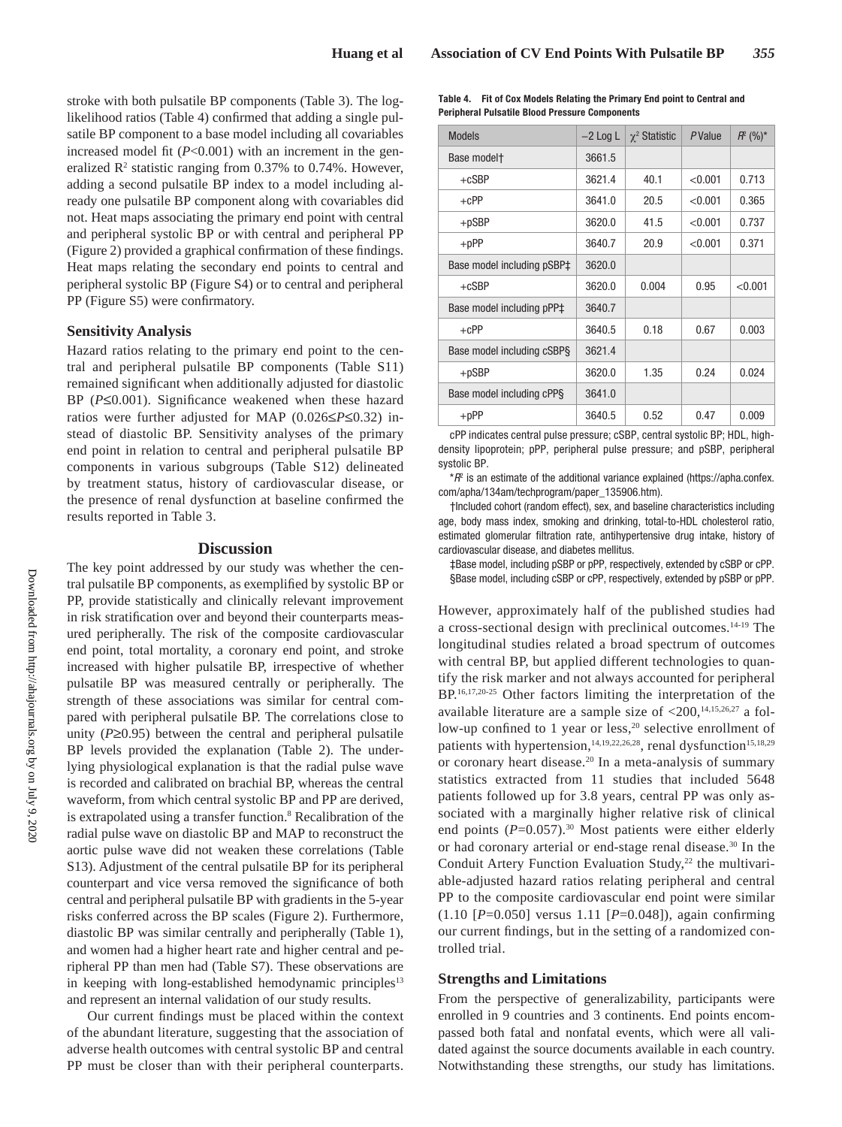stroke with both pulsatile BP components (Table 3). The loglikelihood ratios (Table 4) confirmed that adding a single pulsatile BP component to a base model including all covariables increased model fit  $(P<0.001)$  with an increment in the generalized  $\mathbb{R}^2$  statistic ranging from 0.37% to 0.74%. However, adding a second pulsatile BP index to a model including already one pulsatile BP component along with covariables did not. Heat maps associating the primary end point with central and peripheral systolic BP or with central and peripheral PP (Figure 2) provided a graphical confirmation of these findings. Heat maps relating the secondary end points to central and peripheral systolic BP (Figure S4) or to central and peripheral PP (Figure S5) were confirmatory.

# **Sensitivity Analysis**

Hazard ratios relating to the primary end point to the central and peripheral pulsatile BP components (Table S11) remained significant when additionally adjusted for diastolic BP (*P*≤0.001). Significance weakened when these hazard ratios were further adjusted for MAP (0.026≤*P*≤0.32) instead of diastolic BP. Sensitivity analyses of the primary end point in relation to central and peripheral pulsatile BP components in various subgroups (Table S12) delineated by treatment status, history of cardiovascular disease, or the presence of renal dysfunction at baseline confirmed the results reported in Table 3.

## **Discussion**

The key point addressed by our study was whether the central pulsatile BP components, as exemplified by systolic BP or PP, provide statistically and clinically relevant improvement in risk stratification over and beyond their counterparts measured peripherally. The risk of the composite cardiovascular end point, total mortality, a coronary end point, and stroke increased with higher pulsatile BP, irrespective of whether pulsatile BP was measured centrally or peripherally. The strength of these associations was similar for central compared with peripheral pulsatile BP. The correlations close to unity (*P*≥0.95) between the central and peripheral pulsatile BP levels provided the explanation (Table 2). The underlying physiological explanation is that the radial pulse wave is recorded and calibrated on brachial BP, whereas the central waveform, from which central systolic BP and PP are derived, is extrapolated using a transfer function.<sup>8</sup> Recalibration of the radial pulse wave on diastolic BP and MAP to reconstruct the aortic pulse wave did not weaken these correlations (Table S13). Adjustment of the central pulsatile BP for its peripheral counterpart and vice versa removed the significance of both central and peripheral pulsatile BP with gradients in the 5-year risks conferred across the BP scales (Figure 2). Furthermore, diastolic BP was similar centrally and peripherally (Table 1), and women had a higher heart rate and higher central and peripheral PP than men had (Table S7). These observations are in keeping with long-established hemodynamic principles<sup>13</sup> and represent an internal validation of our study results.

Our current findings must be placed within the context of the abundant literature, suggesting that the association of adverse health outcomes with central systolic BP and central PP must be closer than with their peripheral counterparts.

| Table 4. Fit of Cox Models Relating the Primary End point to Central and |
|--------------------------------------------------------------------------|
| <b>Peripheral Pulsatile Blood Pressure Components</b>                    |

| <b>Models</b>              | $-2$ Log L | $\chi^2$ Statistic | PValue  | $R^2 (%)^*$ |
|----------------------------|------------|--------------------|---------|-------------|
| Base model <sup>+</sup>    | 3661.5     |                    |         |             |
| $+cSBP$                    | 3621.4     | 40.1               | < 0.001 | 0.713       |
| $+CPP$                     | 3641.0     | 20.5               | < 0.001 | 0.365       |
| $+$ pSBP                   | 3620.0     | 41.5               | < 0.001 | 0.737       |
| $+$ p $PP$                 | 3640.7     | 20.9               | < 0.001 | 0.371       |
| Base model including pSBP‡ | 3620.0     |                    |         |             |
| $+cSBP$                    | 3620.0     | 0.004              | 0.95    | < 0.001     |
| Base model including pPP‡  | 3640.7     |                    |         |             |
| $+CPP$                     | 3640.5     | 0.18               | 0.67    | 0.003       |
| Base model including cSBPS | 3621.4     |                    |         |             |
| $+$ pSBP                   | 3620.0     | 1.35               | 0.24    | 0.024       |
| Base model including cPPS  | 3641.0     |                    |         |             |
| $+$ p $PP$                 | 3640.5     | 0.52               | 0.47    | 0.009       |

cPP indicates central pulse pressure; cSBP, central systolic BP; HDL, highdensity lipoprotein; pPP, peripheral pulse pressure; and pSBP, peripheral systolic BP.

 $*R^2$  is an estimate of the additional variance explained (https://apha.confex. com/apha/134am/techprogram/paper\_135906.htm).

†Included cohort (random effect), sex, and baseline characteristics including age, body mass index, smoking and drinking, total-to-HDL cholesterol ratio, estimated glomerular filtration rate, antihypertensive drug intake, history of cardiovascular disease, and diabetes mellitus.

‡Base model, including pSBP or pPP, respectively, extended by cSBP or cPP. §Base model, including cSBP or cPP, respectively, extended by pSBP or pPP.

However, approximately half of the published studies had a cross-sectional design with preclinical outcomes.14-19 The longitudinal studies related a broad spectrum of outcomes with central BP, but applied different technologies to quantify the risk marker and not always accounted for peripheral BP.16,17,20-25 Other factors limiting the interpretation of the available literature are a sample size of  $\langle 200, ^{14,15,26,27}$  a follow-up confined to 1 year or less,<sup>20</sup> selective enrollment of patients with hypertension,<sup>14,19,22,26,28</sup>, renal dysfunction<sup>15,18,29</sup> or coronary heart disease.20 In a meta-analysis of summary statistics extracted from 11 studies that included 5648 patients followed up for 3.8 years, central PP was only associated with a marginally higher relative risk of clinical end points ( $P=0.057$ ).<sup>30</sup> Most patients were either elderly or had coronary arterial or end-stage renal disease.30 In the Conduit Artery Function Evaluation Study, $22$  the multivariable-adjusted hazard ratios relating peripheral and central PP to the composite cardiovascular end point were similar (1.10 [*P*=0.050] versus 1.11 [*P*=0.048]), again confirming our current findings, but in the setting of a randomized controlled trial.

#### **Strengths and Limitations**

From the perspective of generalizability, participants were enrolled in 9 countries and 3 continents. End points encompassed both fatal and nonfatal events, which were all validated against the source documents available in each country. Notwithstanding these strengths, our study has limitations.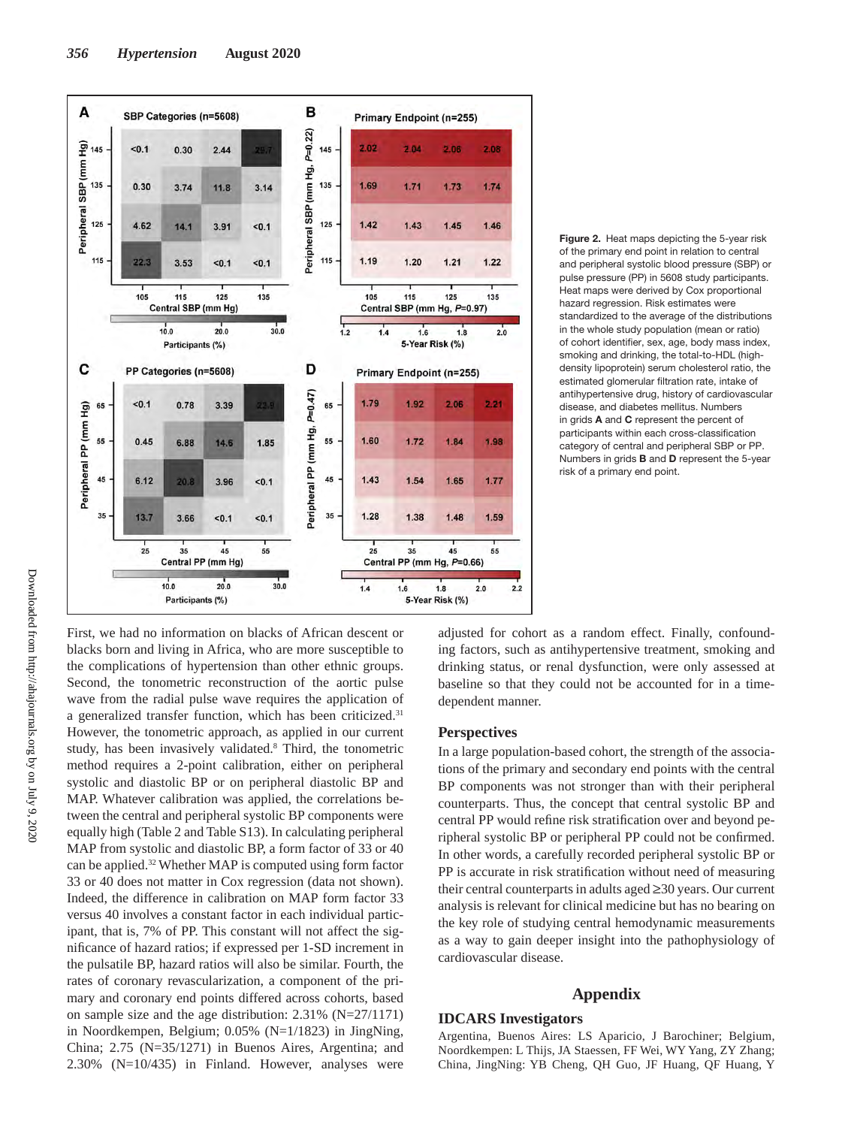

**Figure 2.** Heat maps depicting the 5-year risk of the primary end point in relation to central and peripheral systolic blood pressure (SBP) or pulse pressure (PP) in 5608 study participants. Heat maps were derived by Cox proportional hazard regression. Risk estimates were standardized to the average of the distributions in the whole study population (mean or ratio) of cohort identifier, sex, age, body mass index, smoking and drinking, the total-to-HDL (highdensity lipoprotein) serum cholesterol ratio, the estimated glomerular filtration rate, intake of antihypertensive drug, history of cardiovascular disease, and diabetes mellitus. Numbers in grids **A** and **C** represent the percent of participants within each cross-classification category of central and peripheral SBP or PP. Numbers in grids **B** and **D** represent the 5-year risk of a primary end point.

First, we had no information on blacks of African descent or blacks born and living in Africa, who are more susceptible to the complications of hypertension than other ethnic groups. Second, the tonometric reconstruction of the aortic pulse wave from the radial pulse wave requires the application of a generalized transfer function, which has been criticized.<sup>31</sup> However, the tonometric approach, as applied in our current study, has been invasively validated.<sup>8</sup> Third, the tonometric method requires a 2-point calibration, either on peripheral systolic and diastolic BP or on peripheral diastolic BP and MAP. Whatever calibration was applied, the correlations between the central and peripheral systolic BP components were equally high (Table 2 and Table S13). In calculating peripheral MAP from systolic and diastolic BP, a form factor of 33 or 40 can be applied.<sup>32</sup> Whether MAP is computed using form factor 33 or 40 does not matter in Cox regression (data not shown). Indeed, the difference in calibration on MAP form factor 33 versus 40 involves a constant factor in each individual participant, that is, 7% of PP. This constant will not affect the significance of hazard ratios; if expressed per 1-SD increment in the pulsatile BP, hazard ratios will also be similar. Fourth, the rates of coronary revascularization, a component of the primary and coronary end points differed across cohorts, based on sample size and the age distribution: 2.31% (N=27/1171) in Noordkempen, Belgium; 0.05% (N=1/1823) in JingNing, China; 2.75 (N=35/1271) in Buenos Aires, Argentina; and 2.30% (N=10/435) in Finland. However, analyses were

adjusted for cohort as a random effect. Finally, confounding factors, such as antihypertensive treatment, smoking and drinking status, or renal dysfunction, were only assessed at baseline so that they could not be accounted for in a timedependent manner.

### **Perspectives**

In a large population-based cohort, the strength of the associations of the primary and secondary end points with the central BP components was not stronger than with their peripheral counterparts. Thus, the concept that central systolic BP and central PP would refine risk stratification over and beyond peripheral systolic BP or peripheral PP could not be confirmed. In other words, a carefully recorded peripheral systolic BP or PP is accurate in risk stratification without need of measuring their central counterparts in adults aged ≥30 years. Our current analysis is relevant for clinical medicine but has no bearing on the key role of studying central hemodynamic measurements as a way to gain deeper insight into the pathophysiology of cardiovascular disease.

#### **Appendix**

### **IDCARS Investigators**

Argentina, Buenos Aires: LS Aparicio, J Barochiner; Belgium, Noordkempen: L Thijs, JA Staessen, FF Wei, WY Yang, ZY Zhang; China, JingNing: YB Cheng, QH Guo, JF Huang, QF Huang, Y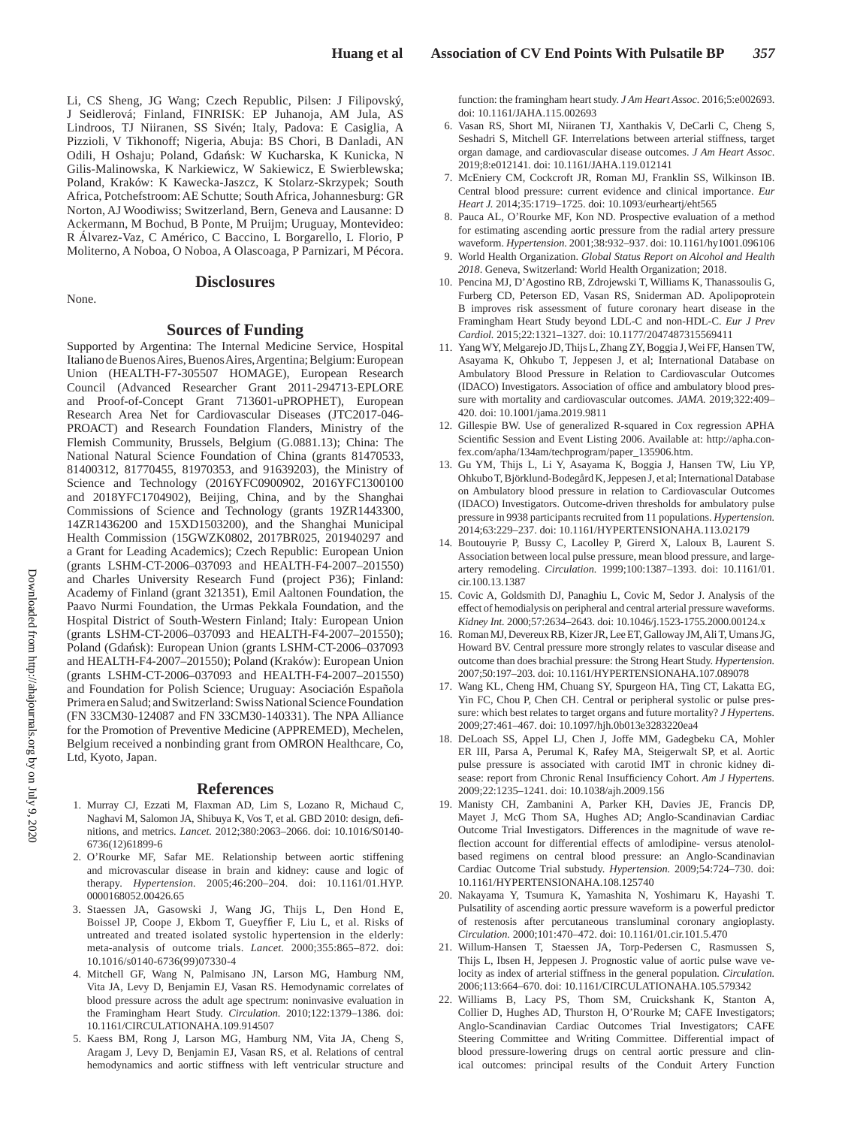Li, CS Sheng, JG Wang; Czech Republic, Pilsen: J Filipovský, J Seidlerová; Finland, FINRISK: EP Juhanoja, AM Jula, AS Lindroos, TJ Niiranen, SS Sivén; Italy, Padova: E Casiglia, A Pizzioli, V Tikhonoff; Nigeria, Abuja: BS Chori, B Danladi, AN Odili, H Oshaju; Poland, Gdańsk: W Kucharska, K Kunicka, N Gilis-Malinowska, K Narkiewicz, W Sakiewicz, E Swierblewska; Poland, Kraków: K Kawecka-Jaszcz, K Stolarz-Skrzypek; South Africa, Potchefstroom: AE Schutte; South Africa, Johannesburg: GR Norton, AJ Woodiwiss; Switzerland, Bern, Geneva and Lausanne: D Ackermann, M Bochud, B Ponte, M Pruijm; Uruguay, Montevideo: R Álvarez-Vaz, C Américo, C Baccino, L Borgarello, L Florio, P Moliterno, A Noboa, O Noboa, A Olascoaga, P Parnizari, M Pécora.

None.

# **Disclosures**

#### **Sources of Funding**

Supported by Argentina: The Internal Medicine Service, Hospital Italiano de Buenos Aires, Buenos Aires, Argentina; Belgium: European Union (HEALTH-F7-305507 HOMAGE), European Research Council (Advanced Researcher Grant 2011-294713-EPLORE and Proof-of-Concept Grant 713601-uPROPHET), European Research Area Net for Cardiovascular Diseases (JTC2017-046- PROACT) and Research Foundation Flanders, Ministry of the Flemish Community, Brussels, Belgium (G.0881.13); China: The National Natural Science Foundation of China (grants 81470533, 81400312, 81770455, 81970353, and 91639203), the Ministry of Science and Technology (2016YFC0900902, 2016YFC1300100 and 2018YFC1704902), Beijing, China, and by the Shanghai Commissions of Science and Technology (grants 19ZR1443300, 14ZR1436200 and 15XD1503200), and the Shanghai Municipal Health Commission (15GWZK0802, 2017BR025, 201940297 and a Grant for Leading Academics); Czech Republic: European Union (grants LSHM-CT-2006–037093 and HEALTH-F4-2007–201550) and Charles University Research Fund (project P36); Finland: Academy of Finland (grant 321351), Emil Aaltonen Foundation, the Paavo Nurmi Foundation, the Urmas Pekkala Foundation, and the Hospital District of South-Western Finland; Italy: European Union (grants LSHM-CT-2006–037093 and HEALTH-F4-2007–201550); Poland (Gdańsk): European Union (grants LSHM-CT-2006–037093 and HEALTH-F4-2007–201550); Poland (Kraków): European Union (grants LSHM-CT-2006–037093 and HEALTH-F4-2007–201550) and Foundation for Polish Science; Uruguay: Asociación Española Primera en Salud; and Switzerland: Swiss National Science Foundation (FN 33CM30‐124087 and FN 33CM30‐140331). The NPA Alliance for the Promotion of Preventive Medicine (APPREMED), Mechelen, Belgium received a nonbinding grant from OMRON Healthcare, Co, Ltd, Kyoto, Japan.

#### **References**

- 1. Murray CJ, Ezzati M, Flaxman AD, Lim S, Lozano R, Michaud C, Naghavi M, Salomon JA, Shibuya K, Vos T, et al. GBD 2010: design, definitions, and metrics. *Lancet.* 2012;380:2063–2066. doi: 10.1016/S0140- 6736(12)61899-6
- 2. O'Rourke MF, Safar ME. Relationship between aortic stiffening and microvascular disease in brain and kidney: cause and logic of therapy. *Hypertension.* 2005;46:200–204. doi: 10.1161/01.HYP. 0000168052.00426.65
- 3. Staessen JA, Gasowski J, Wang JG, Thijs L, Den Hond E, Boissel JP, Coope J, Ekbom T, Gueyffier F, Liu L, et al. Risks of untreated and treated isolated systolic hypertension in the elderly: meta-analysis of outcome trials. *Lancet.* 2000;355:865–872. doi: 10.1016/s0140-6736(99)07330-4
- 4. Mitchell GF, Wang N, Palmisano JN, Larson MG, Hamburg NM, Vita JA, Levy D, Benjamin EJ, Vasan RS. Hemodynamic correlates of blood pressure across the adult age spectrum: noninvasive evaluation in the Framingham Heart Study. *Circulation.* 2010;122:1379–1386. doi: 10.1161/CIRCULATIONAHA.109.914507
- 5. Kaess BM, Rong J, Larson MG, Hamburg NM, Vita JA, Cheng S, Aragam J, Levy D, Benjamin EJ, Vasan RS, et al. Relations of central hemodynamics and aortic stiffness with left ventricular structure and

function: the framingham heart study. *J Am Heart Assoc.* 2016;5:e002693. doi: 10.1161/JAHA.115.002693

- 6. Vasan RS, Short MI, Niiranen TJ, Xanthakis V, DeCarli C, Cheng S, Seshadri S, Mitchell GF. Interrelations between arterial stiffness, target organ damage, and cardiovascular disease outcomes. *J Am Heart Assoc*. 2019;8:e012141. doi: 10.1161/JAHA.119.012141
- 7. McEniery CM, Cockcroft JR, Roman MJ, Franklin SS, Wilkinson IB. Central blood pressure: current evidence and clinical importance. *Eur Heart J.* 2014;35:1719–1725. doi: 10.1093/eurheartj/eht565
- 8. Pauca AL, O'Rourke MF, Kon ND. Prospective evaluation of a method for estimating ascending aortic pressure from the radial artery pressure waveform. *Hypertension.* 2001;38:932–937. doi: 10.1161/hy1001.096106
- 9. World Health Organization. *Global Status Report on Alcohol and Health 2018*. Geneva, Switzerland: World Health Organization; 2018.
- 10. Pencina MJ, D'Agostino RB, Zdrojewski T, Williams K, Thanassoulis G, Furberg CD, Peterson ED, Vasan RS, Sniderman AD. Apolipoprotein B improves risk assessment of future coronary heart disease in the Framingham Heart Study beyond LDL-C and non-HDL-C. *Eur J Prev Cardiol.* 2015;22:1321–1327. doi: 10.1177/2047487315569411
- 11. Yang WY, Melgarejo JD, Thijs L, Zhang ZY, Boggia J, Wei FF, Hansen TW, Asayama K, Ohkubo T, Jeppesen J, et al; International Database on Ambulatory Blood Pressure in Relation to Cardiovascular Outcomes (IDACO) Investigators. Association of office and ambulatory blood pressure with mortality and cardiovascular outcomes. *JAMA.* 2019;322:409– 420. doi: 10.1001/jama.2019.9811
- 12. Gillespie BW. Use of generalized R-squared in Cox regression APHA Scientific Session and Event Listing 2006. Available at: http://apha.confex.com/apha/134am/techprogram/paper\_135906.htm.
- 13. Gu YM, Thijs L, Li Y, Asayama K, Boggia J, Hansen TW, Liu YP, Ohkubo T, Björklund-Bodegård K, Jeppesen J, et al; International Database on Ambulatory blood pressure in relation to Cardiovascular Outcomes (IDACO) Investigators. Outcome-driven thresholds for ambulatory pulse pressure in 9938 participants recruited from 11 populations. *Hypertension.* 2014;63:229–237. doi: 10.1161/HYPERTENSIONAHA.113.02179
- 14. Boutouyrie P, Bussy C, Lacolley P, Girerd X, Laloux B, Laurent S. Association between local pulse pressure, mean blood pressure, and largeartery remodeling. *Circulation.* 1999;100:1387–1393. doi: 10.1161/01. cir.100.13.1387
- 15. Covic A, Goldsmith DJ, Panaghiu L, Covic M, Sedor J. Analysis of the effect of hemodialysis on peripheral and central arterial pressure waveforms. *Kidney Int.* 2000;57:2634–2643. doi: 10.1046/j.1523-1755.2000.00124.x
- 16. Roman MJ, Devereux RB, Kizer JR, Lee ET, Galloway JM, Ali T, Umans JG, Howard BV. Central pressure more strongly relates to vascular disease and outcome than does brachial pressure: the Strong Heart Study. *Hypertension.* 2007;50:197–203. doi: 10.1161/HYPERTENSIONAHA.107.089078
- 17. Wang KL, Cheng HM, Chuang SY, Spurgeon HA, Ting CT, Lakatta EG, Yin FC, Chou P, Chen CH. Central or peripheral systolic or pulse pressure: which best relates to target organs and future mortality? *J Hypertens.* 2009;27:461–467. doi: 10.1097/hjh.0b013e3283220ea4
- 18. DeLoach SS, Appel LJ, Chen J, Joffe MM, Gadegbeku CA, Mohler ER III, Parsa A, Perumal K, Rafey MA, Steigerwalt SP, et al. Aortic pulse pressure is associated with carotid IMT in chronic kidney disease: report from Chronic Renal Insufficiency Cohort. *Am J Hypertens.* 2009;22:1235–1241. doi: 10.1038/ajh.2009.156
- 19. Manisty CH, Zambanini A, Parker KH, Davies JE, Francis DP, Mayet J, McG Thom SA, Hughes AD; Anglo-Scandinavian Cardiac Outcome Trial Investigators. Differences in the magnitude of wave reflection account for differential effects of amlodipine- versus atenololbased regimens on central blood pressure: an Anglo-Scandinavian Cardiac Outcome Trial substudy. *Hypertension.* 2009;54:724–730. doi: 10.1161/HYPERTENSIONAHA.108.125740
- 20. Nakayama Y, Tsumura K, Yamashita N, Yoshimaru K, Hayashi T. Pulsatility of ascending aortic pressure waveform is a powerful predictor of restenosis after percutaneous transluminal coronary angioplasty. *Circulation.* 2000;101:470–472. doi: 10.1161/01.cir.101.5.470
- 21. Willum-Hansen T, Staessen JA, Torp-Pedersen C, Rasmussen S, Thijs L, Ibsen H, Jeppesen J. Prognostic value of aortic pulse wave velocity as index of arterial stiffness in the general population. *Circulation.* 2006;113:664–670. doi: 10.1161/CIRCULATIONAHA.105.579342
- 22. Williams B, Lacy PS, Thom SM, Cruickshank K, Stanton A, Collier D, Hughes AD, Thurston H, O'Rourke M; CAFE Investigators; Anglo-Scandinavian Cardiac Outcomes Trial Investigators; CAFE Steering Committee and Writing Committee. Differential impact of blood pressure-lowering drugs on central aortic pressure and clinical outcomes: principal results of the Conduit Artery Function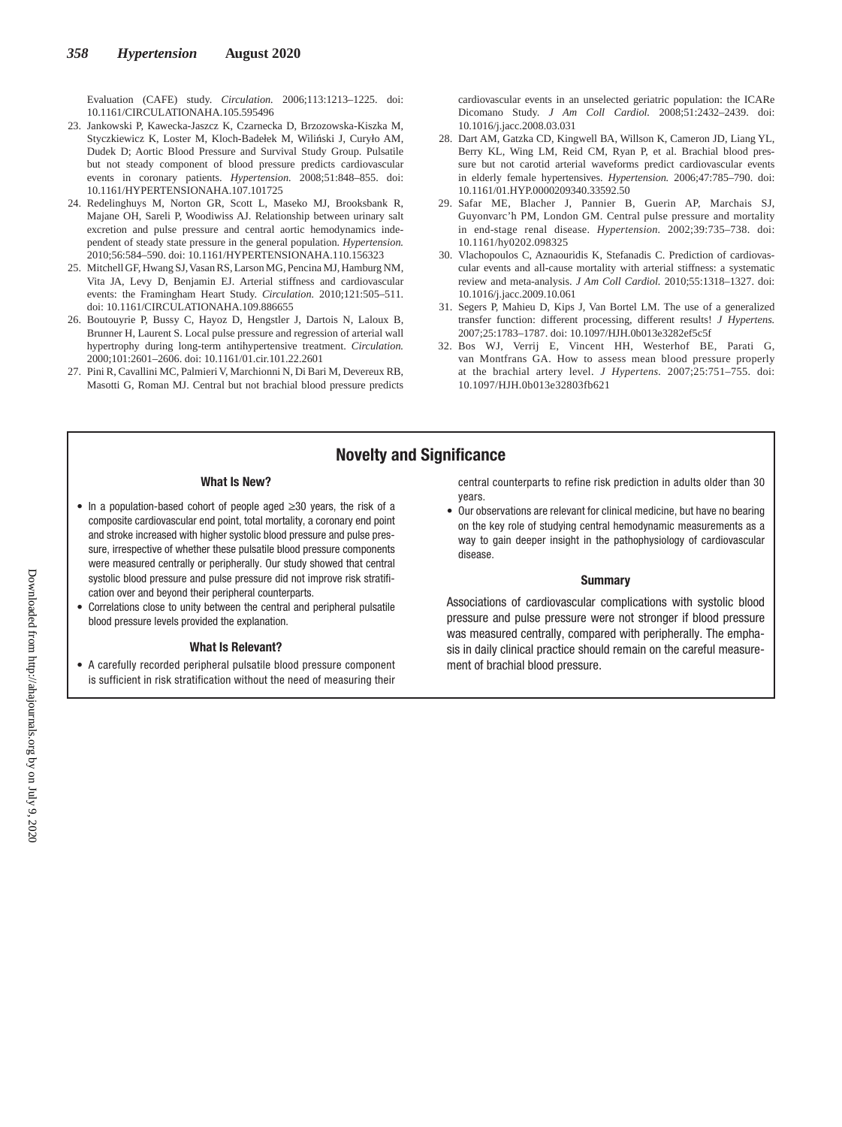Evaluation (CAFE) study. *Circulation.* 2006;113:1213–1225. doi: 10.1161/CIRCULATIONAHA.105.595496

- 23. Jankowski P, Kawecka-Jaszcz K, Czarnecka D, Brzozowska-Kiszka M, Styczkiewicz K, Loster M, Kloch-Badełek M, Wiliński J, Curyło AM, Dudek D; Aortic Blood Pressure and Survival Study Group. Pulsatile but not steady component of blood pressure predicts cardiovascular events in coronary patients. *Hypertension.* 2008;51:848–855. doi: 10.1161/HYPERTENSIONAHA.107.101725
- 24. Redelinghuys M, Norton GR, Scott L, Maseko MJ, Brooksbank R, Majane OH, Sareli P, Woodiwiss AJ. Relationship between urinary salt excretion and pulse pressure and central aortic hemodynamics independent of steady state pressure in the general population. *Hypertension.* 2010;56:584–590. doi: 10.1161/HYPERTENSIONAHA.110.156323
- 25. Mitchell GF, Hwang SJ, Vasan RS, Larson MG, Pencina MJ, Hamburg NM, Vita JA, Levy D, Benjamin EJ. Arterial stiffness and cardiovascular events: the Framingham Heart Study. *Circulation.* 2010;121:505–511. doi: 10.1161/CIRCULATIONAHA.109.886655
- 26. Boutouyrie P, Bussy C, Hayoz D, Hengstler J, Dartois N, Laloux B, Brunner H, Laurent S. Local pulse pressure and regression of arterial wall hypertrophy during long-term antihypertensive treatment. *Circulation.* 2000;101:2601–2606. doi: 10.1161/01.cir.101.22.2601
- 27. Pini R, Cavallini MC, Palmieri V, Marchionni N, Di Bari M, Devereux RB, Masotti G, Roman MJ. Central but not brachial blood pressure predicts

cardiovascular events in an unselected geriatric population: the ICARe Dicomano Study. *J Am Coll Cardiol.* 2008;51:2432–2439. doi: 10.1016/j.jacc.2008.03.031

- 28. Dart AM, Gatzka CD, Kingwell BA, Willson K, Cameron JD, Liang YL, Berry KL, Wing LM, Reid CM, Ryan P, et al. Brachial blood pressure but not carotid arterial waveforms predict cardiovascular events in elderly female hypertensives. *Hypertension.* 2006;47:785–790. doi: 10.1161/01.HYP.0000209340.33592.50
- 29. Safar ME, Blacher J, Pannier B, Guerin AP, Marchais SJ, Guyonvarc'h PM, London GM. Central pulse pressure and mortality in end-stage renal disease. *Hypertension.* 2002;39:735–738. doi: 10.1161/hy0202.098325
- 30. Vlachopoulos C, Aznaouridis K, Stefanadis C. Prediction of cardiovascular events and all-cause mortality with arterial stiffness: a systematic review and meta-analysis. *J Am Coll Cardiol.* 2010;55:1318–1327. doi: 10.1016/j.jacc.2009.10.061
- 31. Segers P, Mahieu D, Kips J, Van Bortel LM. The use of a generalized transfer function: different processing, different results! *J Hypertens.* 2007;25:1783–1787. doi: 10.1097/HJH.0b013e3282ef5c5f
- 32. Bos WJ, Verrij E, Vincent HH, Westerhof BE, Parati G, van Montfrans GA. How to assess mean blood pressure properly at the brachial artery level. *J Hypertens.* 2007;25:751–755. doi: 10.1097/HJH.0b013e32803fb621

# Novelty and Significance

#### What Is New?

- • In a population-based cohort of people aged ≥30 years, the risk of a composite cardiovascular end point, total mortality, a coronary end point and stroke increased with higher systolic blood pressure and pulse pressure, irrespective of whether these pulsatile blood pressure components were measured centrally or peripherally. Our study showed that central systolic blood pressure and pulse pressure did not improve risk stratification over and beyond their peripheral counterparts.
- Correlations close to unity between the central and peripheral pulsatile blood pressure levels provided the explanation.

#### What Is Relevant?

• A carefully recorded peripheral pulsatile blood pressure component is sufficient in risk stratification without the need of measuring their central counterparts to refine risk prediction in adults older than 30 years.

• Our observations are relevant for clinical medicine, but have no bearing on the key role of studying central hemodynamic measurements as a way to gain deeper insight in the pathophysiology of cardiovascular disease.

#### **Summary**

Associations of cardiovascular complications with systolic blood pressure and pulse pressure were not stronger if blood pressure was measured centrally, compared with peripherally. The emphasis in daily clinical practice should remain on the careful measurement of brachial blood pressure.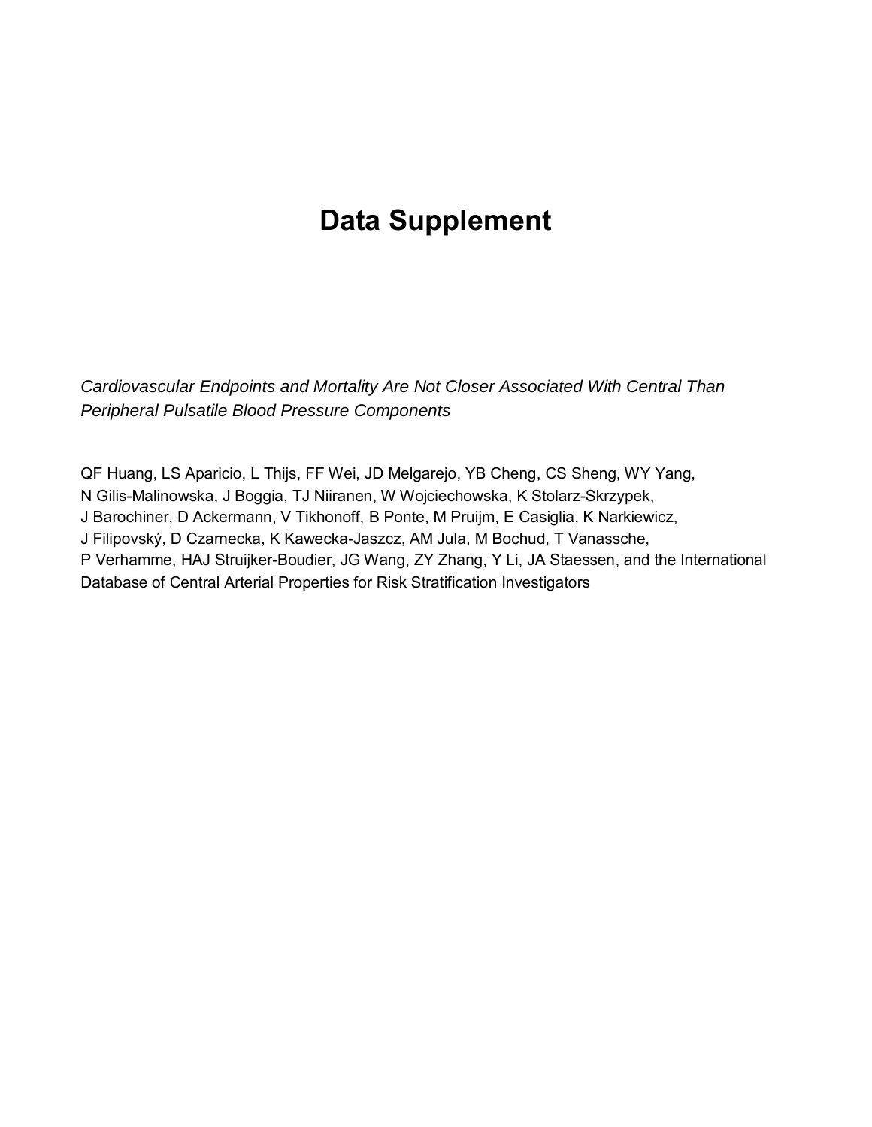# **Data Supplement**

*Cardiovascular Endpoints and Mortality Are Not Closer Associated With Central Than Peripheral Pulsatile Blood Pressure Components* 

QF Huang, LS Aparicio, L Thijs, FF Wei, JD Melgarejo, YB Cheng, CS Sheng, WY Yang, N Gilis-Malinowska, J Boggia, TJ Niiranen, W Wojciechowska, K Stolarz-Skrzypek, J Barochiner, D Ackermann, V Tikhonoff, B Ponte, M Pruijm, E Casiglia, K Narkiewicz, J Filipovský, D Czarnecka, K Kawecka-Jaszcz, AM Jula, M Bochud, T Vanassche, P Verhamme, HAJ Struijker-Boudier, JG Wang, ZY Zhang, Y Li, JA Staessen, and the International Database of Central Arterial Properties for Risk Stratification Investigators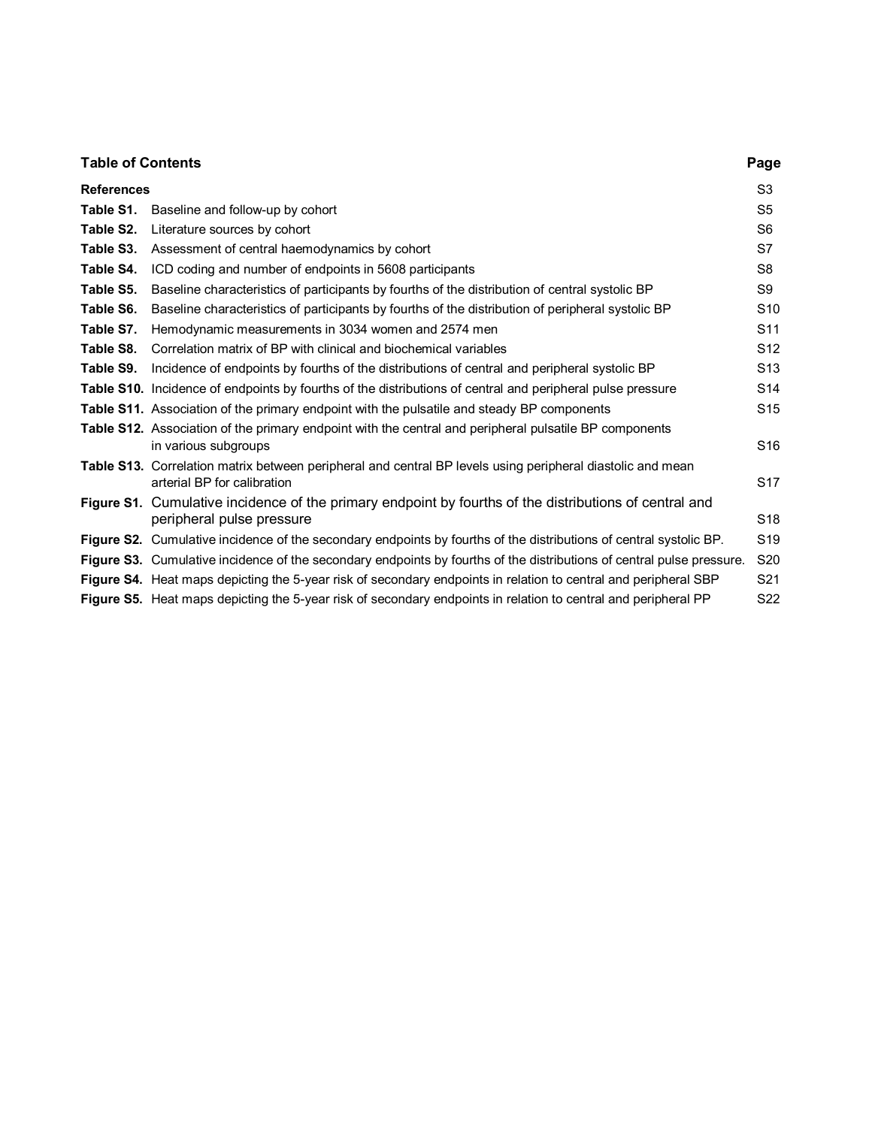| <b>Table of Contents</b> |                                                                                                                                           | Page            |
|--------------------------|-------------------------------------------------------------------------------------------------------------------------------------------|-----------------|
| <b>References</b>        |                                                                                                                                           | S <sub>3</sub>  |
| Table S1.                | Baseline and follow-up by cohort                                                                                                          | S <sub>5</sub>  |
| Table S2.                | Literature sources by cohort                                                                                                              | S <sub>6</sub>  |
| Table S3.                | Assessment of central haemodynamics by cohort                                                                                             | S7              |
| Table S4.                | ICD coding and number of endpoints in 5608 participants                                                                                   | S <sub>8</sub>  |
| Table S5.                | Baseline characteristics of participants by fourths of the distribution of central systolic BP                                            | S9              |
| Table S6.                | Baseline characteristics of participants by fourths of the distribution of peripheral systolic BP                                         | S <sub>10</sub> |
| Table S7.                | Hemodynamic measurements in 3034 women and 2574 men                                                                                       | S <sub>11</sub> |
| Table S8.                | Correlation matrix of BP with clinical and biochemical variables                                                                          | S12             |
| Table S9.                | Incidence of endpoints by fourths of the distributions of central and peripheral systolic BP                                              | S <sub>13</sub> |
|                          | Table S10. Incidence of endpoints by fourths of the distributions of central and peripheral pulse pressure                                | S <sub>14</sub> |
|                          | Table S11. Association of the primary endpoint with the pulsatile and steady BP components                                                | S <sub>15</sub> |
|                          | <b>Table S12.</b> Association of the primary endpoint with the central and peripheral pulsatile BP components<br>in various subgroups     | S <sub>16</sub> |
|                          | Table S13. Correlation matrix between peripheral and central BP levels using peripheral diastolic and mean<br>arterial BP for calibration | S17             |
|                          | Figure S1. Cumulative incidence of the primary endpoint by fourths of the distributions of central and<br>peripheral pulse pressure       | S <sub>18</sub> |
|                          | Figure S2. Cumulative incidence of the secondary endpoints by fourths of the distributions of central systolic BP.                        | S <sub>19</sub> |
|                          | Figure S3. Cumulative incidence of the secondary endpoints by fourths of the distributions of central pulse pressure.                     | S <sub>20</sub> |
|                          | Figure S4. Heat maps depicting the 5-year risk of secondary endpoints in relation to central and peripheral SBP                           | S <sub>21</sub> |
|                          | Figure S5. Heat maps depicting the 5-year risk of secondary endpoints in relation to central and peripheral PP                            | S <sub>22</sub> |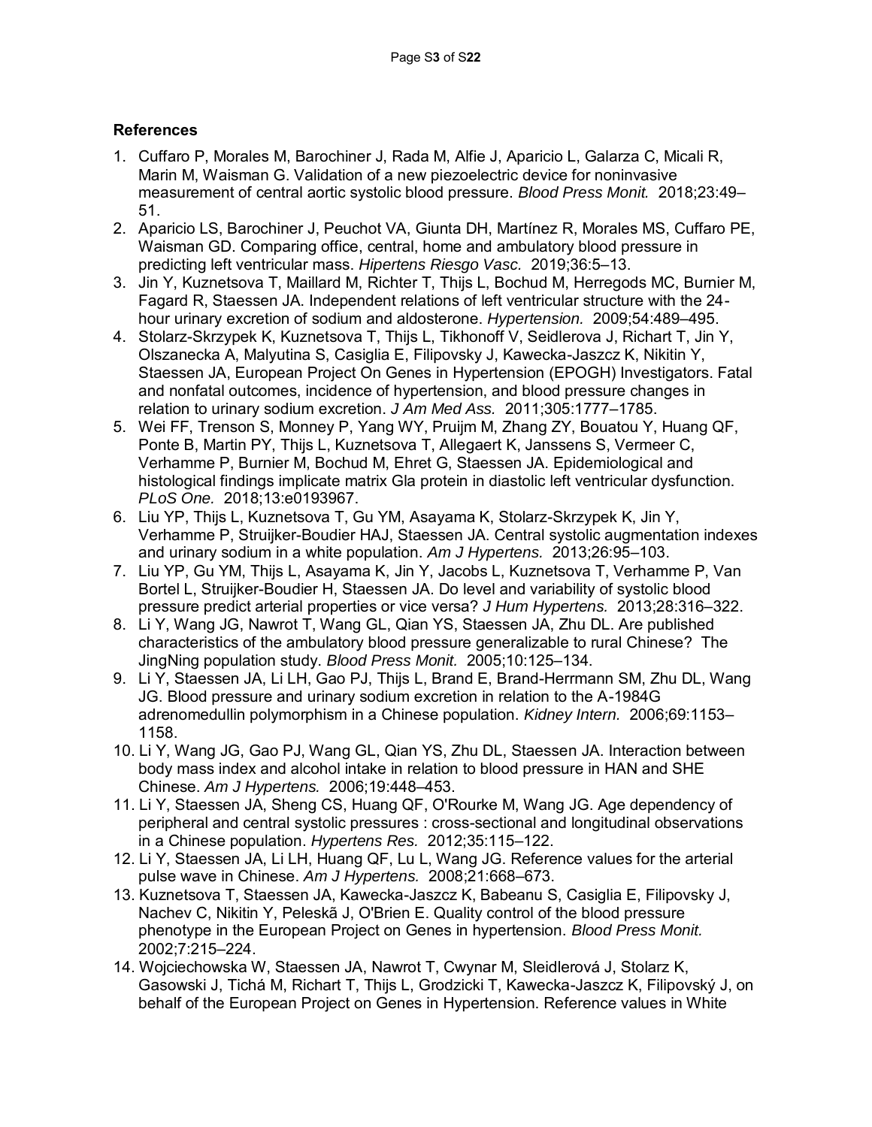# **References**

- 1. Cuffaro P, Morales M, Barochiner J, Rada M, Alfie J, Aparicio L, Galarza C, Micali R, Marin M, Waisman G. Validation of a new piezoelectric device for noninvasive measurement of central aortic systolic blood pressure. *Blood Press Monit.* 2018;23:49– 51.
- 2. Aparicio LS, Barochiner J, Peuchot VA, Giunta DH, Martínez R, Morales MS, Cuffaro PE, Waisman GD. Comparing office, central, home and ambulatory blood pressure in predicting left ventricular mass. *Hipertens Riesgo Vasc.* 2019;36:5–13.
- 3. Jin Y, Kuznetsova T, Maillard M, Richter T, Thijs L, Bochud M, Herregods MC, Burnier M, Fagard R, Staessen JA. Independent relations of left ventricular structure with the 24 hour urinary excretion of sodium and aldosterone. *Hypertension.* 2009;54:489–495.
- 4. Stolarz-Skrzypek K, Kuznetsova T, Thijs L, Tikhonoff V, Seidlerova J, Richart T, Jin Y, Olszanecka A, Malyutina S, Casiglia E, Filipovsky J, Kawecka-Jaszcz K, Nikitin Y, Staessen JA, European Project On Genes in Hypertension (EPOGH) Investigators. Fatal and nonfatal outcomes, incidence of hypertension, and blood pressure changes in relation to urinary sodium excretion. *J Am Med Ass.* 2011;305:1777–1785.
- 5. Wei FF, Trenson S, Monney P, Yang WY, Pruijm M, Zhang ZY, Bouatou Y, Huang QF, Ponte B, Martin PY, Thijs L, Kuznetsova T, Allegaert K, Janssens S, Vermeer C, Verhamme P, Burnier M, Bochud M, Ehret G, Staessen JA. Epidemiological and histological findings implicate matrix Gla protein in diastolic left ventricular dysfunction. *PLoS One.* 2018;13:e0193967.
- 6. Liu YP, Thijs L, Kuznetsova T, Gu YM, Asayama K, Stolarz-Skrzypek K, Jin Y, Verhamme P, Struijker-Boudier HAJ, Staessen JA. Central systolic augmentation indexes and urinary sodium in a white population. *Am J Hypertens.* 2013;26:95–103.
- 7. Liu YP, Gu YM, Thijs L, Asayama K, Jin Y, Jacobs L, Kuznetsova T, Verhamme P, Van Bortel L, Struijker-Boudier H, Staessen JA. Do level and variability of systolic blood pressure predict arterial properties or vice versa? *J Hum Hypertens.* 2013;28:316–322.
- 8. Li Y, Wang JG, Nawrot T, Wang GL, Qian YS, Staessen JA, Zhu DL. Are published characteristics of the ambulatory blood pressure generalizable to rural Chinese? The JingNing population study. *Blood Press Monit.* 2005;10:125–134.
- 9. Li Y, Staessen JA, Li LH, Gao PJ, Thijs L, Brand E, Brand-Herrmann SM, Zhu DL, Wang JG. Blood pressure and urinary sodium excretion in relation to the A-1984G adrenomedullin polymorphism in a Chinese population. *Kidney Intern.* 2006;69:1153– 1158.
- 10. Li Y, Wang JG, Gao PJ, Wang GL, Qian YS, Zhu DL, Staessen JA. Interaction between body mass index and alcohol intake in relation to blood pressure in HAN and SHE Chinese. *Am J Hypertens.* 2006;19:448–453.
- 11. Li Y, Staessen JA, Sheng CS, Huang QF, O'Rourke M, Wang JG. Age dependency of peripheral and central systolic pressures : cross-sectional and longitudinal observations in a Chinese population. *Hypertens Res.* 2012;35:115–122.
- 12. Li Y, Staessen JA, Li LH, Huang QF, Lu L, Wang JG. Reference values for the arterial pulse wave in Chinese. *Am J Hypertens.* 2008;21:668–673.
- 13. Kuznetsova T, Staessen JA, Kawecka-Jaszcz K, Babeanu S, Casiglia E, Filipovsky J, Nachev C, Nikitin Y, Peleskã J, O'Brien E. Quality control of the blood pressure phenotype in the European Project on Genes in hypertension. *Blood Press Monit.* 2002;7:215–224.
- 14. Wojciechowska W, Staessen JA, Nawrot T, Cwynar M, Sleidlerová J, Stolarz K, Gasowski J, Tichá M, Richart T, Thijs L, Grodzicki T, Kawecka-Jaszcz K, Filipovský J, on behalf of the European Project on Genes in Hypertension. Reference values in White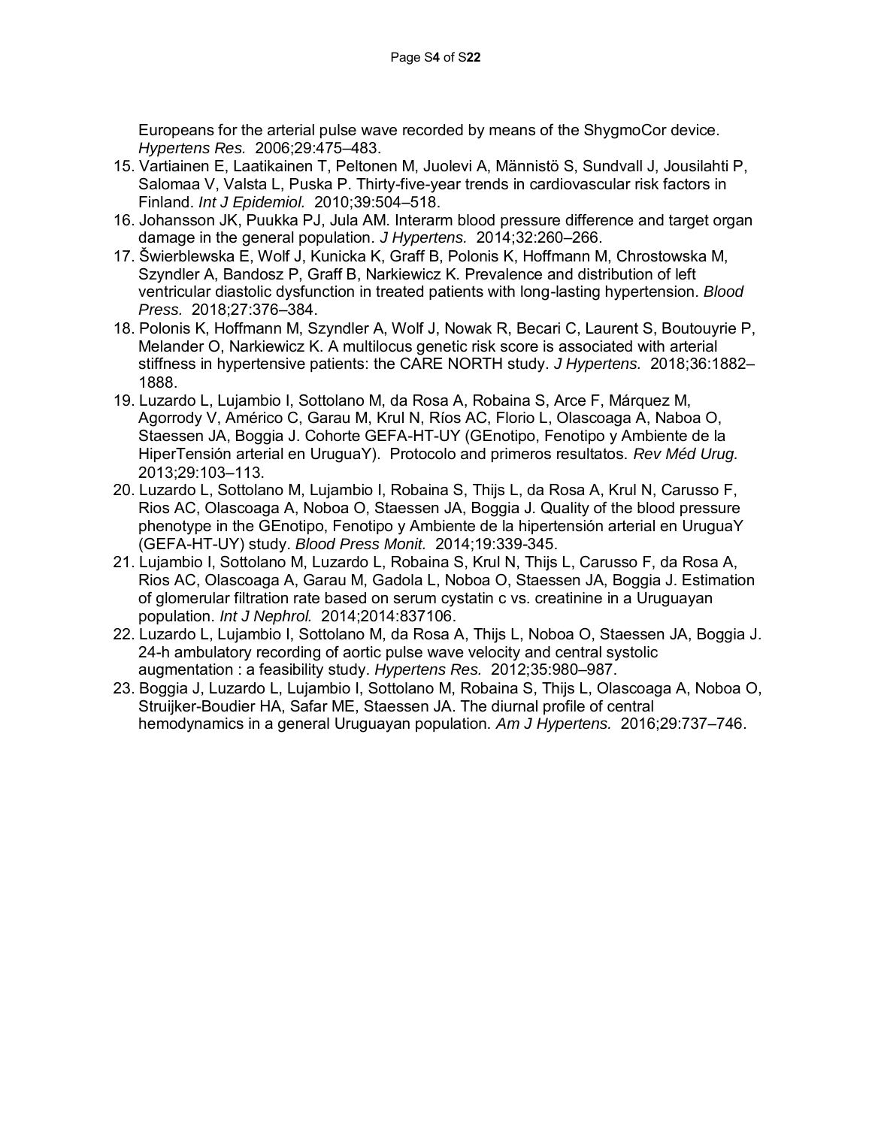Europeans for the arterial pulse wave recorded by means of the ShygmoCor device. *Hypertens Res.* 2006;29:475–483.

- 15. Vartiainen E, Laatikainen T, Peltonen M, Juolevi A, Männistö S, Sundvall J, Jousilahti P, Salomaa V, Valsta L, Puska P. Thirty-five-year trends in cardiovascular risk factors in Finland. *Int J Epidemiol.* 2010;39:504–518.
- 16. Johansson JK, Puukka PJ, Jula AM. Interarm blood pressure difference and target organ damage in the general population. *J Hypertens.* 2014;32:260–266.
- 17. Šwierblewska E, Wolf J, Kunicka K, Graff B, Polonis K, Hoffmann M, Chrostowska M, Szyndler A, Bandosz P, Graff B, Narkiewicz K. Prevalence and distribution of left ventricular diastolic dysfunction in treated patients with long-lasting hypertension. *Blood Press.* 2018;27:376–384.
- 18. Polonis K, Hoffmann M, Szyndler A, Wolf J, Nowak R, Becari C, Laurent S, Boutouyrie P, Melander O, Narkiewicz K. A multilocus genetic risk score is associated with arterial stiffness in hypertensive patients: the CARE NORTH study. *J Hypertens.* 2018;36:1882– 1888.
- 19. Luzardo L, Lujambio I, Sottolano M, da Rosa A, Robaina S, Arce F, Márquez M, Agorrody V, Américo C, Garau M, Krul N, Ríos AC, Florio L, Olascoaga A, Naboa O, Staessen JA, Boggia J. Cohorte GEFA-HT-UY (GEnotipo, Fenotipo y Ambiente de la HiperTensión arterial en UruguaY). Protocolo and primeros resultatos. *Rev Méd Urug.* 2013;29:103–113.
- 20. Luzardo L, Sottolano M, Lujambio I, Robaina S, Thijs L, da Rosa A, Krul N, Carusso F, Rios AC, Olascoaga A, Noboa O, Staessen JA, Boggia J. Quality of the blood pressure phenotype in the GEnotipo, Fenotipo y Ambiente de la hipertensión arterial en UruguaY (GEFA-HT-UY) study. *Blood Press Monit.* 2014;19:339-345.
- 21. Lujambio I, Sottolano M, Luzardo L, Robaina S, Krul N, Thijs L, Carusso F, da Rosa A, Rios AC, Olascoaga A, Garau M, Gadola L, Noboa O, Staessen JA, Boggia J. Estimation of glomerular filtration rate based on serum cystatin c vs. creatinine in a Uruguayan population. *Int J Nephrol.* 2014;2014:837106.
- 22. Luzardo L, Lujambio I, Sottolano M, da Rosa A, Thijs L, Noboa O, Staessen JA, Boggia J. 24-h ambulatory recording of aortic pulse wave velocity and central systolic augmentation : a feasibility study. *Hypertens Res.* 2012;35:980–987.
- 23. Boggia J, Luzardo L, Lujambio I, Sottolano M, Robaina S, Thijs L, Olascoaga A, Noboa O, Struijker-Boudier HA, Safar ME, Staessen JA. The diurnal profile of central hemodynamics in a general Uruguayan population. *Am J Hypertens.* 2016;29:737–746.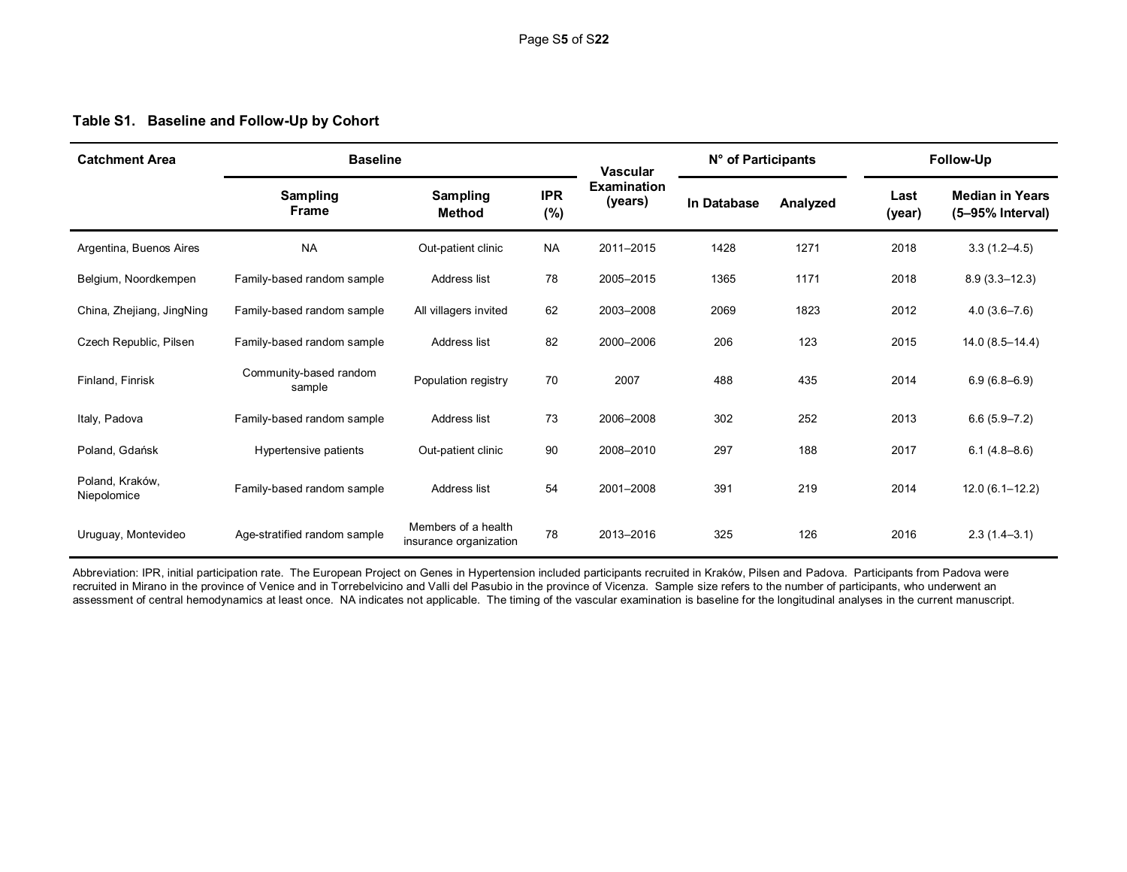# **Table S1. Baseline and Follow-Up by Cohort**

| <b>Catchment Area</b>          | <b>Baseline</b>                  |                                               |                      | <b>Vascular</b>               | N° of Participants |          | Follow-Up      |                                            |  |
|--------------------------------|----------------------------------|-----------------------------------------------|----------------------|-------------------------------|--------------------|----------|----------------|--------------------------------------------|--|
|                                | <b>Sampling</b><br><b>Frame</b>  | <b>Sampling</b><br>Method                     | <b>IPR</b><br>$(\%)$ | <b>Examination</b><br>(years) | In Database        | Analyzed | Last<br>(year) | <b>Median in Years</b><br>(5-95% Interval) |  |
| Argentina, Buenos Aires        | <b>NA</b>                        | Out-patient clinic                            | <b>NA</b>            | 2011-2015                     | 1428               | 1271     | 2018           | $3.3(1.2 - 4.5)$                           |  |
| Belgium, Noordkempen           | Family-based random sample       | Address list                                  | 78                   | 2005-2015                     | 1365               | 1171     | 2018           | $8.9(3.3-12.3)$                            |  |
| China, Zhejiang, JingNing      | Family-based random sample       | All villagers invited                         | 62                   | 2003-2008                     | 2069               | 1823     | 2012           | $4.0(3.6 - 7.6)$                           |  |
| Czech Republic, Pilsen         | Family-based random sample       | Address list                                  | 82                   | 2000-2006                     | 206                | 123      | 2015           | $14.0(8.5 - 14.4)$                         |  |
| Finland, Finrisk               | Community-based random<br>sample | Population registry                           | 70                   | 2007                          | 488                | 435      | 2014           | $6.9(6.8 - 6.9)$                           |  |
| Italy, Padova                  | Family-based random sample       | Address list                                  | 73                   | 2006-2008                     | 302                | 252      | 2013           | $6.6(5.9 - 7.2)$                           |  |
| Poland, Gdańsk                 | Hypertensive patients            | Out-patient clinic                            | 90                   | 2008-2010                     | 297                | 188      | 2017           | $6.1(4.8-8.6)$                             |  |
| Poland, Kraków,<br>Niepolomice | Family-based random sample       | Address list                                  | 54                   | 2001-2008                     | 391                | 219      | 2014           | $12.0(6.1 - 12.2)$                         |  |
| Uruguay, Montevideo            | Age-stratified random sample     | Members of a health<br>insurance organization | 78                   | 2013-2016                     | 325                | 126      | 2016           | $2.3(1.4-3.1)$                             |  |

Abbreviation: IPR, initial participation rate. The European Project on Genes in Hypertension included participants recruited in Kraków, Pilsen and Padova. Participants from Padova were recruited in Mirano in the province of Venice and in Torrebelvicino and Valli del Pasubio in the province of Vicenza. Sample size refers to the number of participants, who underwent an assessment of central hemodynamics at least once. NA indicates not applicable. The timing of the vascular examination is baseline for the longitudinal analyses in the current manuscript.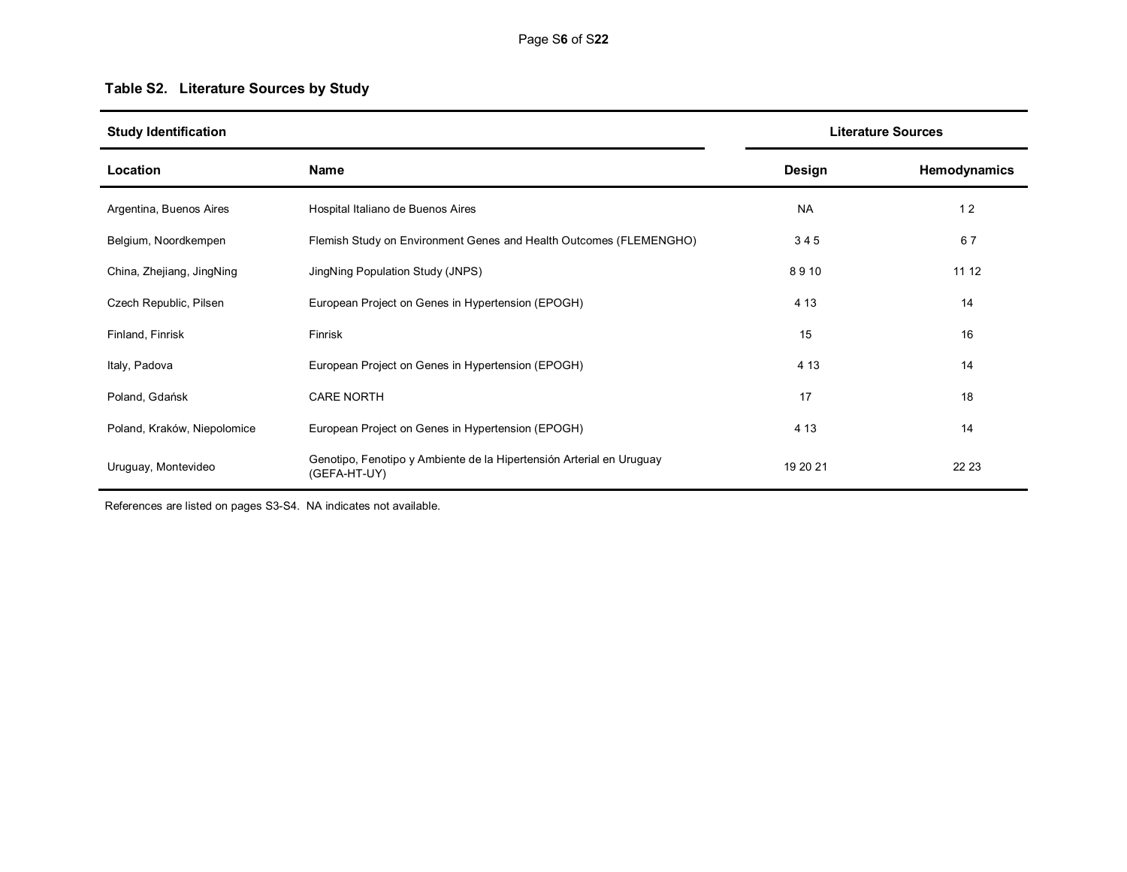# **Table S2. Literature Sources by Study**

| <b>Study Identification</b> |                                                                                      | <b>Literature Sources</b> |              |  |
|-----------------------------|--------------------------------------------------------------------------------------|---------------------------|--------------|--|
| Location                    | Name                                                                                 | Design                    | Hemodynamics |  |
| Argentina, Buenos Aires     | Hospital Italiano de Buenos Aires                                                    | <b>NA</b>                 | 12           |  |
| Belgium, Noordkempen        | Flemish Study on Environment Genes and Health Outcomes (FLEMENGHO)                   | 345                       | 67           |  |
| China, Zhejiang, JingNing   | JingNing Population Study (JNPS)                                                     | 8910                      | 11 12        |  |
| Czech Republic, Pilsen      | European Project on Genes in Hypertension (EPOGH)                                    | 4 1 3                     | 14           |  |
| Finland, Finrisk            | Finrisk                                                                              | 15                        | 16           |  |
| Italy, Padova               | European Project on Genes in Hypertension (EPOGH)                                    | 4 1 3                     | 14           |  |
| Poland, Gdańsk              | <b>CARE NORTH</b>                                                                    | 17                        | 18           |  |
| Poland, Kraków, Niepolomice | European Project on Genes in Hypertension (EPOGH)                                    | 4 1 3                     | 14           |  |
| Uruguay, Montevideo         | Genotipo, Fenotipo y Ambiente de la Hipertensión Arterial en Uruguay<br>(GEFA-HT-UY) | 19 20 21                  | 22 23        |  |

References are listed on pages S3-S4. NA indicates not available.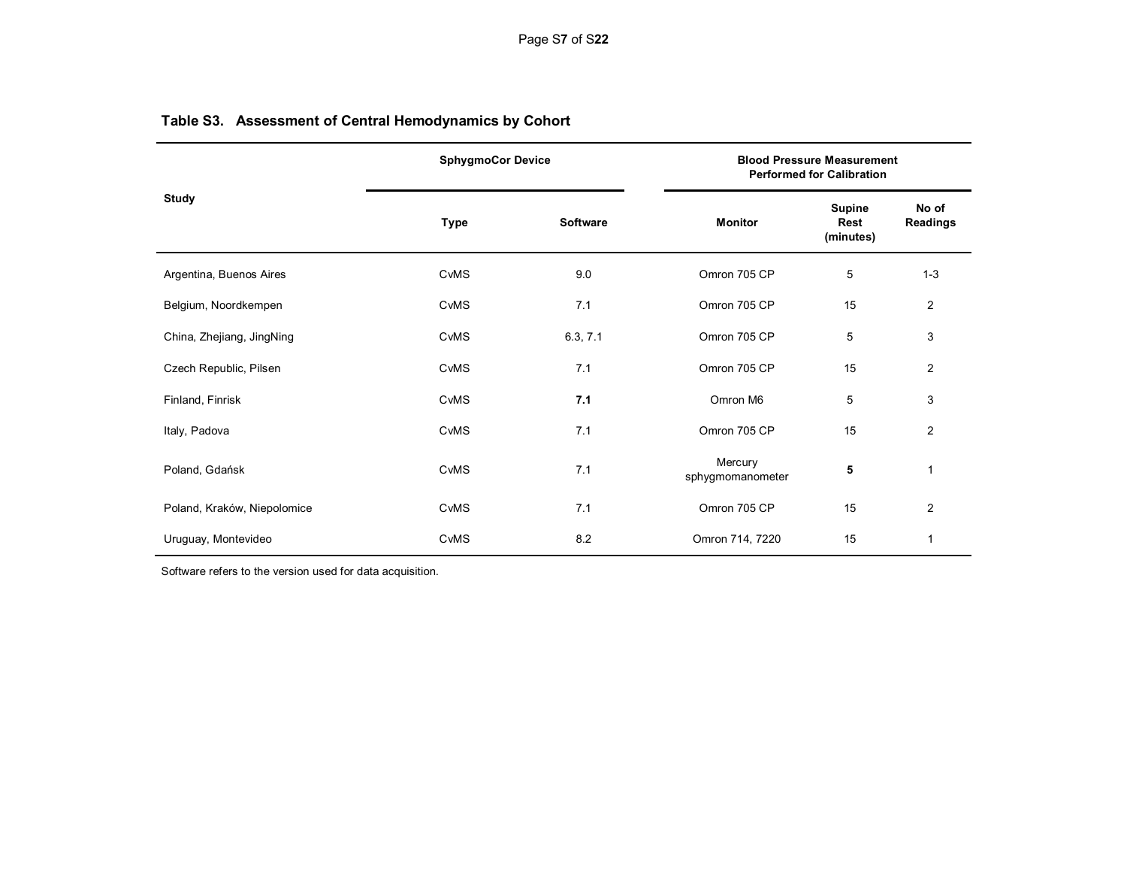|                             | <b>SphygmoCor Device</b> |                 | <b>Blood Pressure Measurement</b><br><b>Performed for Calibration</b> |                             |                   |  |
|-----------------------------|--------------------------|-----------------|-----------------------------------------------------------------------|-----------------------------|-------------------|--|
| <b>Study</b>                | Type                     | <b>Software</b> | <b>Monitor</b>                                                        | Supine<br>Rest<br>(minutes) | No of<br>Readings |  |
| Argentina, Buenos Aires     | <b>CvMS</b>              | 9.0             | Omron 705 CP                                                          | 5                           | $1 - 3$           |  |
| Belgium, Noordkempen        | CvMS                     | 7.1             | Omron 705 CP                                                          | 15                          | 2                 |  |
| China, Zhejiang, JingNing   | CvMS                     | 6.3, 7.1        | Omron 705 CP                                                          | 5                           | 3                 |  |
| Czech Republic, Pilsen      | <b>CvMS</b>              | 7.1             | Omron 705 CP                                                          | 15                          | $\overline{2}$    |  |
| Finland, Finrisk            | CvMS                     | 7.1             | Omron M6                                                              | 5                           | 3                 |  |
| Italy, Padova               | CvMS                     | 7.1             | Omron 705 CP                                                          | 15                          | $\overline{2}$    |  |
| Poland, Gdańsk              | <b>CvMS</b>              | 7.1             | Mercury<br>sphygmomanometer                                           | 5                           | 1                 |  |
| Poland, Kraków, Niepolomice | CvMS                     | 7.1             | Omron 705 CP                                                          | 15                          | $\overline{2}$    |  |
| Uruguay, Montevideo         | CvMS                     | 8.2             | Omron 714, 7220                                                       | 15                          |                   |  |

# **Table S3. Assessment of Central Hemodynamics by Cohort**

Software refers to the version used for data acquisition.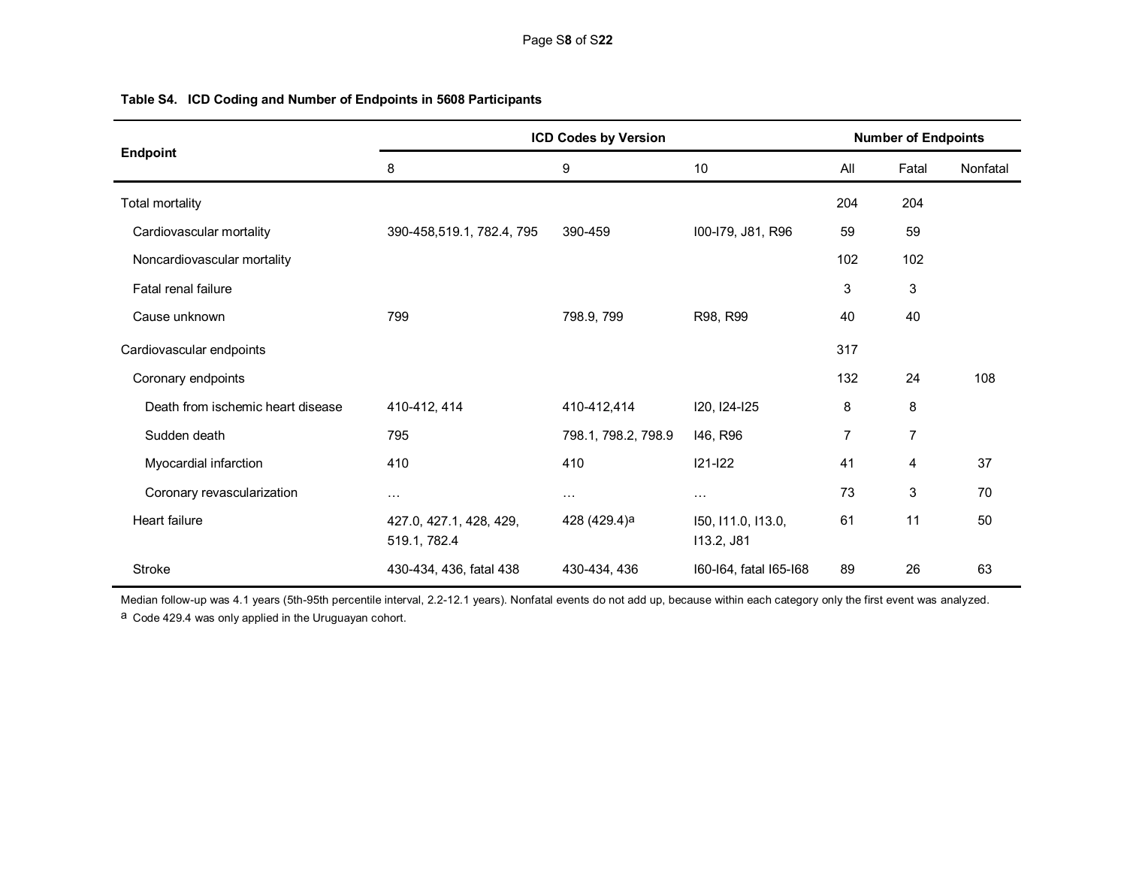|                                   | <b>ICD Codes by Version</b>             |                      |                                  |     | <b>Number of Endpoints</b> |          |  |
|-----------------------------------|-----------------------------------------|----------------------|----------------------------------|-----|----------------------------|----------|--|
| Endpoint                          | 8                                       | $\boldsymbol{9}$     | 10                               | All | Fatal                      | Nonfatal |  |
| <b>Total mortality</b>            |                                         |                      |                                  | 204 | 204                        |          |  |
| Cardiovascular mortality          | 390-458,519.1, 782.4, 795               | 390-459              | I00-I79, J81, R96                | 59  | 59                         |          |  |
| Noncardiovascular mortality       |                                         |                      |                                  | 102 | 102                        |          |  |
| Fatal renal failure               |                                         |                      |                                  | 3   | 3                          |          |  |
| Cause unknown                     | 799                                     | 798.9, 799           | R98, R99                         | 40  | 40                         |          |  |
| Cardiovascular endpoints          |                                         |                      |                                  | 317 |                            |          |  |
| Coronary endpoints                |                                         |                      |                                  | 132 | 24                         | 108      |  |
| Death from ischemic heart disease | 410-412, 414                            | 410-412,414          | 120, 124-125                     | 8   | 8                          |          |  |
| Sudden death                      | 795                                     | 798.1, 798.2, 798.9  | 146, R96                         | 7   | $\overline{7}$             |          |  |
| Myocardial infarction             | 410                                     | 410                  | $121 - 122$                      | 41  | 4                          | 37       |  |
| Coronary revascularization        | $\cdots$                                | $\sim$ $\sim$ $\sim$ | $\ldots$                         | 73  | 3                          | 70       |  |
| Heart failure                     | 427.0, 427.1, 428, 429,<br>519.1, 782.4 | 428 (429.4)a         | 150, 111.0, 113.0,<br>113.2, J81 | 61  | 11                         | 50       |  |
| <b>Stroke</b>                     | 430-434, 436, fatal 438                 | 430-434, 436         | 160-164, fatal 165-168           | 89  | 26                         | 63       |  |

# **Table S4. ICD Coding and Number of Endpoints in 5608 Participants**

Median follow-up was 4.1 years (5th-95th percentile interval, 2.2-12.1 years). Nonfatal events do not add up, because within each category only the first event was analyzed. a Code 429.4 was only applied in the Uruguayan cohort.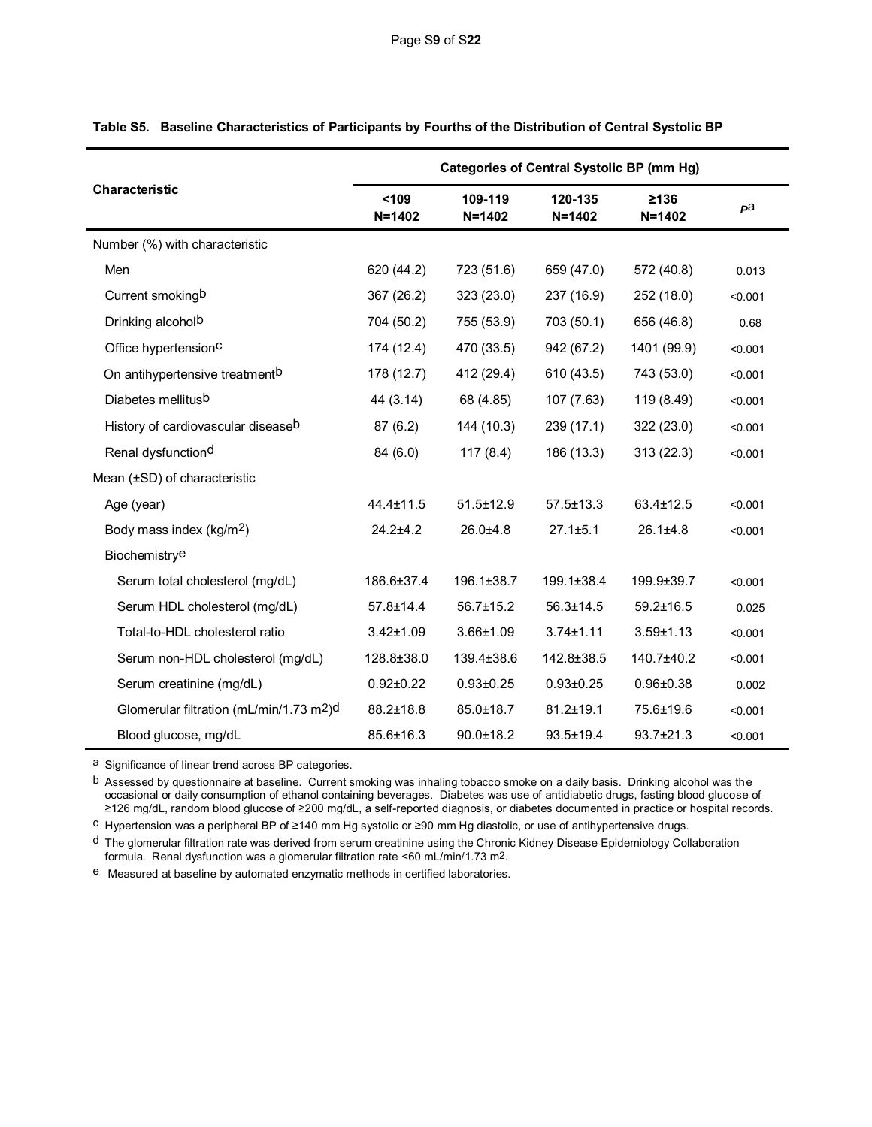|                                                      | <b>Categories of Central Systolic BP (mm Hg)</b> |                       |                       |                    |         |  |  |  |
|------------------------------------------------------|--------------------------------------------------|-----------------------|-----------------------|--------------------|---------|--|--|--|
| <b>Characteristic</b>                                | $109$<br>$N = 1402$                              | 109-119<br>$N = 1402$ | 120-135<br>$N = 1402$ | ≥136<br>$N = 1402$ | pa      |  |  |  |
| Number (%) with characteristic                       |                                                  |                       |                       |                    |         |  |  |  |
| Men                                                  | 620 (44.2)                                       | 723 (51.6)            | 659 (47.0)            | 572 (40.8)         | 0.013   |  |  |  |
| Current smokingb                                     | 367 (26.2)                                       | 323(23.0)             | 237 (16.9)            | 252 (18.0)         | < 0.001 |  |  |  |
| Drinking alcohol <sup>b</sup>                        | 704 (50.2)                                       | 755 (53.9)            | 703 (50.1)            | 656 (46.8)         | 0.68    |  |  |  |
| Office hypertension <sup>C</sup>                     | 174 (12.4)                                       | 470 (33.5)            | 942 (67.2)            | 1401 (99.9)        | < 0.001 |  |  |  |
| On antihypertensive treatment <sup>b</sup>           | 178 (12.7)                                       | 412 (29.4)            | 610 (43.5)            | 743 (53.0)         | < 0.001 |  |  |  |
| Diabetes mellitus <sup>b</sup>                       | 44 (3.14)                                        | 68 (4.85)             | 107 (7.63)            | 119 (8.49)         | < 0.001 |  |  |  |
| History of cardiovascular diseaseb                   | 87(6.2)                                          | 144 (10.3)            | 239(17.1)             | 322 (23.0)         | < 0.001 |  |  |  |
| Renal dysfunctiond                                   | 84 (6.0)                                         | 117(8.4)              | 186 (13.3)            | 313 (22.3)         | < 0.001 |  |  |  |
| Mean (±SD) of characteristic                         |                                                  |                       |                       |                    |         |  |  |  |
| Age (year)                                           | 44.4±11.5                                        | 51.5±12.9             | $57.5 \pm 13.3$       | 63.4±12.5          | < 0.001 |  |  |  |
| Body mass index (kg/m <sup>2</sup> )                 | $24.2 + 4.2$                                     | $26.0 + 4.8$          | $27.1 \pm 5.1$        | $26.1 \pm 4.8$     | < 0.001 |  |  |  |
| Biochemistrye                                        |                                                  |                       |                       |                    |         |  |  |  |
| Serum total cholesterol (mg/dL)                      | 186.6±37.4                                       | 196.1±38.7            | 199.1±38.4            | 199.9±39.7         | < 0.001 |  |  |  |
| Serum HDL cholesterol (mg/dL)                        | 57.8±14.4                                        | 56.7±15.2             | $56.3 \pm 14.5$       | $59.2 \pm 16.5$    | 0.025   |  |  |  |
| Total-to-HDL cholesterol ratio                       | $3.42 \pm 1.09$                                  | $3.66 \pm 1.09$       | $3.74 \pm 1.11$       | $3.59 \pm 1.13$    | < 0.001 |  |  |  |
| Serum non-HDL cholesterol (mg/dL)                    | 128.8±38.0                                       | 139.4±38.6            | 142.8±38.5            | 140.7±40.2         | < 0.001 |  |  |  |
| Serum creatinine (mg/dL)                             | $0.92 \pm 0.22$                                  | $0.93 \pm 0.25$       | $0.93 \pm 0.25$       | $0.96 + 0.38$      | 0.002   |  |  |  |
| Glomerular filtration (mL/min/1.73 m <sup>2</sup> )d | 88.2±18.8                                        | 85.0±18.7             | 81.2±19.1             | 75.6±19.6          | < 0.001 |  |  |  |
| Blood glucose, mg/dL                                 | 85.6±16.3                                        | $90.0 + 18.2$         | $93.5 + 19.4$         | $93.7 \pm 21.3$    | < 0.001 |  |  |  |

|  | Table S5. Baseline Characteristics of Participants by Fourths of the Distribution of Central Systolic BP |  |  |  |  |
|--|----------------------------------------------------------------------------------------------------------|--|--|--|--|
|--|----------------------------------------------------------------------------------------------------------|--|--|--|--|

a Significance of linear trend across BP categories.

b Assessed by questionnaire at baseline. Current smoking was inhaling tobacco smoke on a daily basis. Drinking alcohol was the occasional or daily consumption of ethanol containing beverages. Diabetes was use of antidiabetic drugs, fasting blood glucose of ≥126 mg/dL, random blood glucose of ≥200 mg/dL, a self-reported diagnosis, or diabetes documented in practice or hospital records.

c Hypertension was a peripheral BP of ≥140 mm Hg systolic or ≥90 mm Hg diastolic, or use of antihypertensive drugs.

d The glomerular filtration rate was derived from serum creatinine using the Chronic Kidney Disease Epidemiology Collaboration formula. Renal dysfunction was a glomerular filtration rate <60 mL/min/1.73 m2.

e Measured at baseline by automated enzymatic methods in certified laboratories.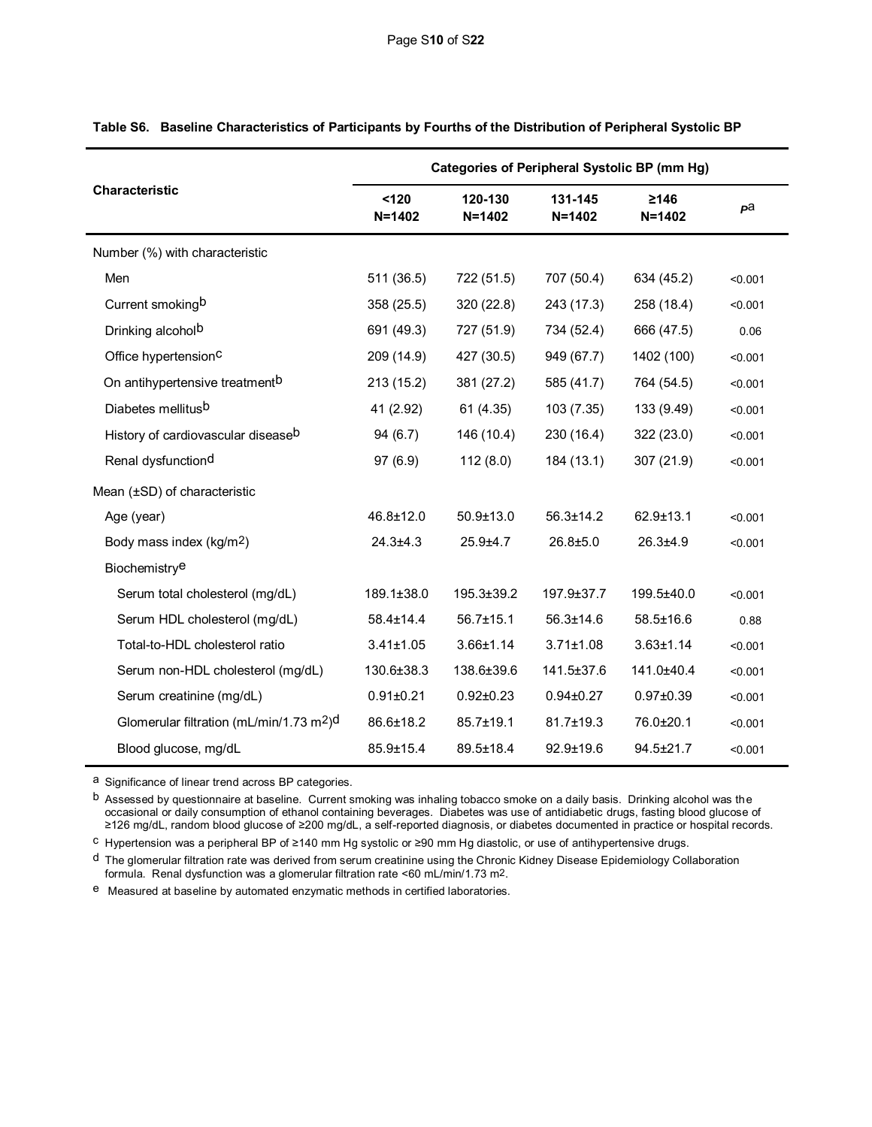|                                                      | <b>Categories of Peripheral Systolic BP (mm Hg)</b> |                       |                       |                          |         |  |  |  |
|------------------------------------------------------|-----------------------------------------------------|-----------------------|-----------------------|--------------------------|---------|--|--|--|
| <b>Characteristic</b>                                | 120<br>$N = 1402$                                   | 120-130<br>$N = 1402$ | 131-145<br>$N = 1402$ | $\geq 146$<br>$N = 1402$ | pa      |  |  |  |
| Number (%) with characteristic                       |                                                     |                       |                       |                          |         |  |  |  |
| Men                                                  | 511 (36.5)                                          | 722 (51.5)            | 707 (50.4)            | 634 (45.2)               | < 0.001 |  |  |  |
| Current smokingb                                     | 358 (25.5)                                          | 320 (22.8)            | 243 (17.3)            | 258 (18.4)               | < 0.001 |  |  |  |
| Drinking alcohol <sup>b</sup>                        | 691 (49.3)                                          | 727 (51.9)            | 734 (52.4)            | 666 (47.5)               | 0.06    |  |  |  |
| Office hypertension <sup>C</sup>                     | 209 (14.9)                                          | 427 (30.5)            | 949 (67.7)            | 1402 (100)               | < 0.001 |  |  |  |
| On antihypertensive treatment <sup>b</sup>           | 213 (15.2)                                          | 381 (27.2)            | 585 (41.7)            | 764 (54.5)               | < 0.001 |  |  |  |
| Diabetes mellitusb                                   | 41 (2.92)                                           | 61 (4.35)             | 103 (7.35)            | 133 (9.49)               | < 0.001 |  |  |  |
| History of cardiovascular diseaseb                   | 94(6.7)                                             | 146 (10.4)            | 230 (16.4)            | 322 (23.0)               | < 0.001 |  |  |  |
| Renal dysfunction <sup>d</sup>                       | 97(6.9)                                             | 112(8.0)              | 184 (13.1)            | 307 (21.9)               | < 0.001 |  |  |  |
| Mean (±SD) of characteristic                         |                                                     |                       |                       |                          |         |  |  |  |
| Age (year)                                           | 46.8±12.0                                           | $50.9 + 13.0$         | $56.3 \pm 14.2$       | $62.9 + 13.1$            | < 0.001 |  |  |  |
| Body mass index (kg/m <sup>2</sup> )                 | $24.3 \pm 4.3$                                      | $25.9 + 4.7$          | $26.8 + 5.0$          | $26.3 + 4.9$             | < 0.001 |  |  |  |
| Biochemistrye                                        |                                                     |                       |                       |                          |         |  |  |  |
| Serum total cholesterol (mg/dL)                      | 189.1±38.0                                          | 195.3±39.2            | 197.9±37.7            | 199.5±40.0               | < 0.001 |  |  |  |
| Serum HDL cholesterol (mg/dL)                        | $58.4 \pm 14.4$                                     | $56.7 \pm 15.1$       | 56.3±14.6             | 58.5±16.6                | 0.88    |  |  |  |
| Total-to-HDL cholesterol ratio                       | $3.41 \pm 1.05$                                     | $3.66 \pm 1.14$       | $3.71 \pm 1.08$       | $3.63 \pm 1.14$          | < 0.001 |  |  |  |
| Serum non-HDL cholesterol (mg/dL)                    | 130.6±38.3                                          | 138.6±39.6            | 141.5±37.6            | 141.0±40.4               | < 0.001 |  |  |  |
| Serum creatinine (mg/dL)                             | $0.91 \pm 0.21$                                     | $0.92 \pm 0.23$       | $0.94 \pm 0.27$       | $0.97 \pm 0.39$          | < 0.001 |  |  |  |
| Glomerular filtration (mL/min/1.73 m <sup>2</sup> )d | 86.6±18.2                                           | 85.7±19.1             | 81.7±19.3             | 76.0±20.1                | < 0.001 |  |  |  |
| Blood glucose, mg/dL                                 | 85.9±15.4                                           | 89.5±18.4             | 92.9±19.6             | 94.5±21.7                | < 0.001 |  |  |  |

# **Table S6. Baseline Characteristics of Participants by Fourths of the Distribution of Peripheral Systolic BP**

a Significance of linear trend across BP categories.

b Assessed by questionnaire at baseline. Current smoking was inhaling tobacco smoke on a daily basis. Drinking alcohol was the occasional or daily consumption of ethanol containing beverages. Diabetes was use of antidiabetic drugs, fasting blood glucose of ≥126 mg/dL, random blood glucose of ≥200 mg/dL, a self-reported diagnosis, or diabetes documented in practice or hospital records.

c Hypertension was a peripheral BP of ≥140 mm Hg systolic or ≥90 mm Hg diastolic, or use of antihypertensive drugs.

d The glomerular filtration rate was derived from serum creatinine using the Chronic Kidney Disease Epidemiology Collaboration formula. Renal dysfunction was a glomerular filtration rate <60 mL/min/1.73 m2.

e Measured at baseline by automated enzymatic methods in certified laboratories.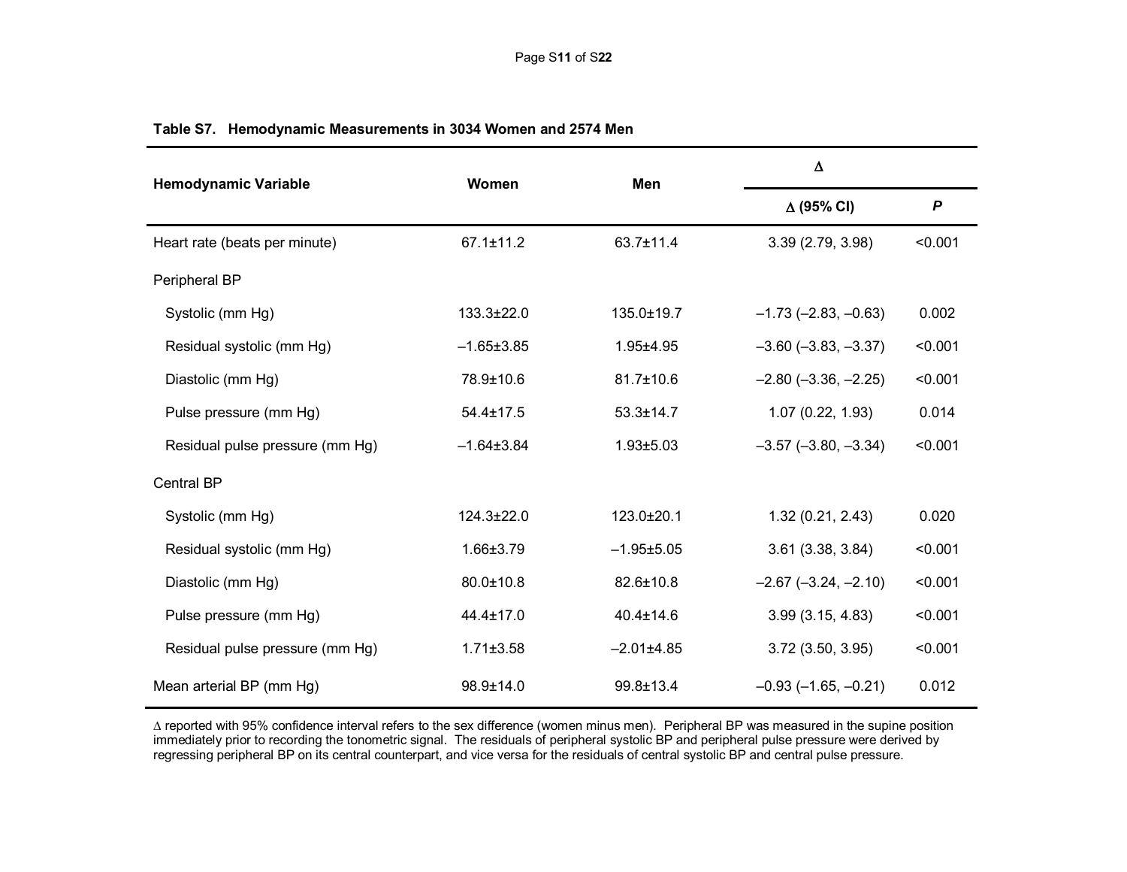| <b>Hemodynamic Variable</b>     | <b>Women</b>     | Men              | $\Delta$                 |                  |
|---------------------------------|------------------|------------------|--------------------------|------------------|
|                                 |                  |                  | $\Delta$ (95% CI)        | $\boldsymbol{P}$ |
| Heart rate (beats per minute)   | $67.1 \pm 11.2$  | 63.7±11.4        | 3.39 (2.79, 3.98)        | < 0.001          |
| Peripheral BP                   |                  |                  |                          |                  |
| Systolic (mm Hg)                | $133.3 \pm 22.0$ | 135.0±19.7       | $-1.73$ $(-2.83, -0.63)$ | 0.002            |
| Residual systolic (mm Hg)       | $-1.65 \pm 3.85$ | $1.95 + 4.95$    | $-3.60$ $(-3.83, -3.37)$ | < 0.001          |
| Diastolic (mm Hg)               | 78.9±10.6        | 81.7±10.6        | $-2.80$ $(-3.36, -2.25)$ | < 0.001          |
| Pulse pressure (mm Hg)          | $54.4 \pm 17.5$  | $53.3 \pm 14.7$  | 1.07(0.22, 1.93)         | 0.014            |
| Residual pulse pressure (mm Hg) | $-1.64 \pm 3.84$ | $1.93 + 5.03$    | $-3.57$ $(-3.80, -3.34)$ | < 0.001          |
| <b>Central BP</b>               |                  |                  |                          |                  |
| Systolic (mm Hg)                | $124.3 \pm 22.0$ | 123.0±20.1       | 1.32(0.21, 2.43)         | 0.020            |
| Residual systolic (mm Hg)       | 1.66±3.79        | $-1.95 \pm 5.05$ | $3.61$ $(3.38, 3.84)$    | < 0.001          |
| Diastolic (mm Hg)               | 80.0±10.8        | 82.6±10.8        | $-2.67$ $(-3.24, -2.10)$ | < 0.001          |
| Pulse pressure (mm Hg)          | $44.4 \pm 17.0$  | $40.4 \pm 14.6$  | 3.99(3.15, 4.83)         | < 0.001          |
| Residual pulse pressure (mm Hg) | $1.71 \pm 3.58$  | $-2.01\pm4.85$   | 3.72 (3.50, 3.95)        | < 0.001          |
| Mean arterial BP (mm Hg)        | 98.9±14.0        | 99.8±13.4        | $-0.93$ $(-1.65, -0.21)$ | 0.012            |

# **Table S7. Hemodynamic Measurements in 3034 Women and 2574 Men**

 reported with 95% confidence interval refers to the sex difference (women minus men). Peripheral BP was measured in the supine position immediately prior to recording the tonometric signal. The residuals of peripheral systolic BP and peripheral pulse pressure were derived by regressing peripheral BP on its central counterpart, and vice versa for the residuals of central systolic BP and central pulse pressure.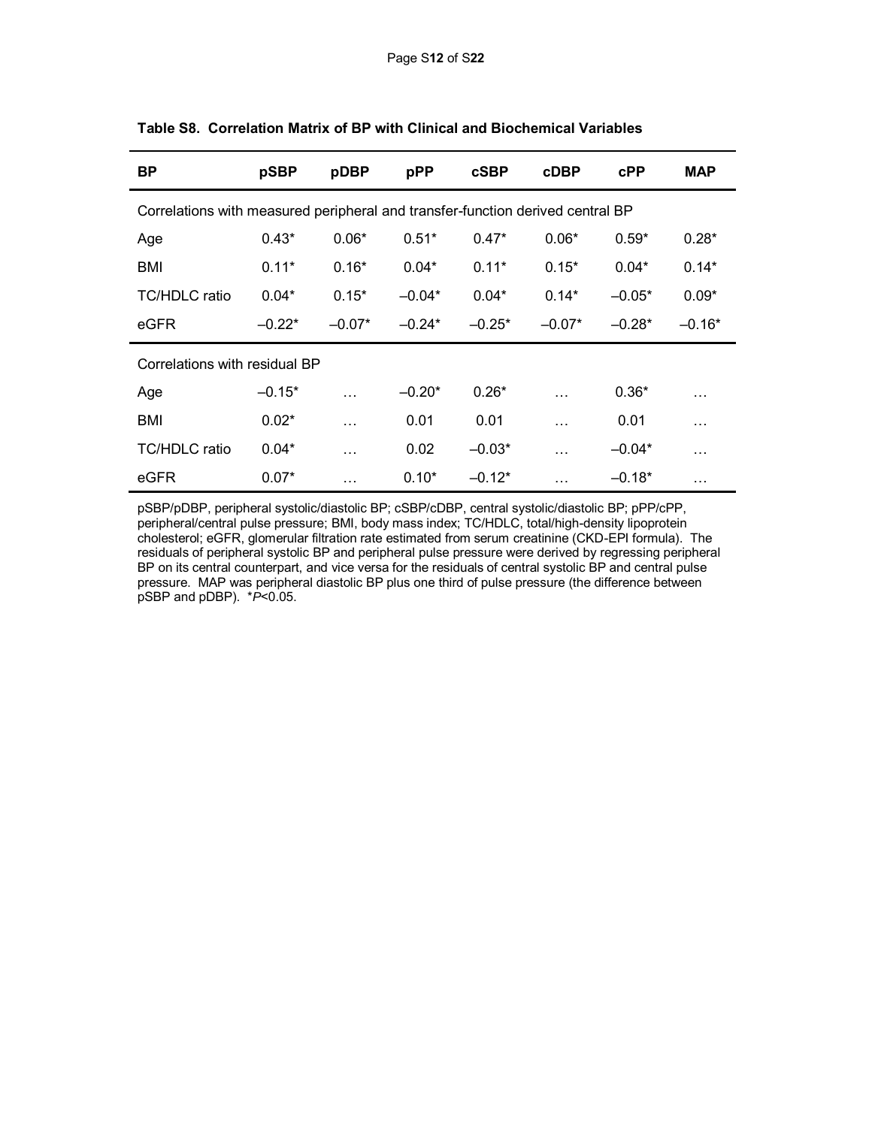| ВP                                                                             | pSBP     | pDBP     | pPP      | <b>cSBP</b> | <b>cDBP</b> | <b>cPP</b> | <b>MAP</b> |
|--------------------------------------------------------------------------------|----------|----------|----------|-------------|-------------|------------|------------|
| Correlations with measured peripheral and transfer-function derived central BP |          |          |          |             |             |            |            |
| Age                                                                            | $0.43*$  | $0.06*$  | $0.51*$  | $0.47*$     | $0.06*$     | $0.59*$    | $0.28*$    |
| BMI                                                                            | $0.11*$  | $0.16*$  | $0.04*$  | $0.11*$     | $0.15*$     | $0.04*$    | $0.14*$    |
| <b>TC/HDLC</b> ratio                                                           | $0.04*$  | $0.15*$  | $-0.04*$ | $0.04*$     | $0.14*$     | $-0.05*$   | $0.09*$    |
| eGFR                                                                           | $-0.22*$ | $-0.07*$ | $-0.24*$ | $-0.25*$    | $-0.07*$    | $-0.28*$   | $-0.16*$   |
| Correlations with residual BP                                                  |          |          |          |             |             |            |            |
| Age                                                                            | $-0.15*$ | $\cdots$ | $-0.20*$ | $0.26*$     | $\ddotsc$   | $0.36*$    | .          |
| BMI                                                                            | $0.02*$  | $\cdots$ | 0.01     | 0.01        | .           | 0.01       | .          |
| TC/HDLC ratio                                                                  | $0.04*$  | $\cdots$ | 0.02     | $-0.03*$    | $\cdots$    | $-0.04*$   | .          |
| eGFR                                                                           | $0.07*$  | .        | $0.10*$  | $-0.12*$    | .           | $-0.18*$   | .          |

**Table S8. Correlation Matrix of BP with Clinical and Biochemical Variables** 

pSBP/pDBP, peripheral systolic/diastolic BP; cSBP/cDBP, central systolic/diastolic BP; pPP/cPP, peripheral/central pulse pressure; BMI, body mass index; TC/HDLC, total/high-density lipoprotein cholesterol; eGFR, glomerular filtration rate estimated from serum creatinine (CKD-EPI formula). The residuals of peripheral systolic BP and peripheral pulse pressure were derived by regressing peripheral BP on its central counterpart, and vice versa for the residuals of central systolic BP and central pulse pressure. MAP was peripheral diastolic BP plus one third of pulse pressure (the difference between pSBP and pDBP). \**P*<0.05.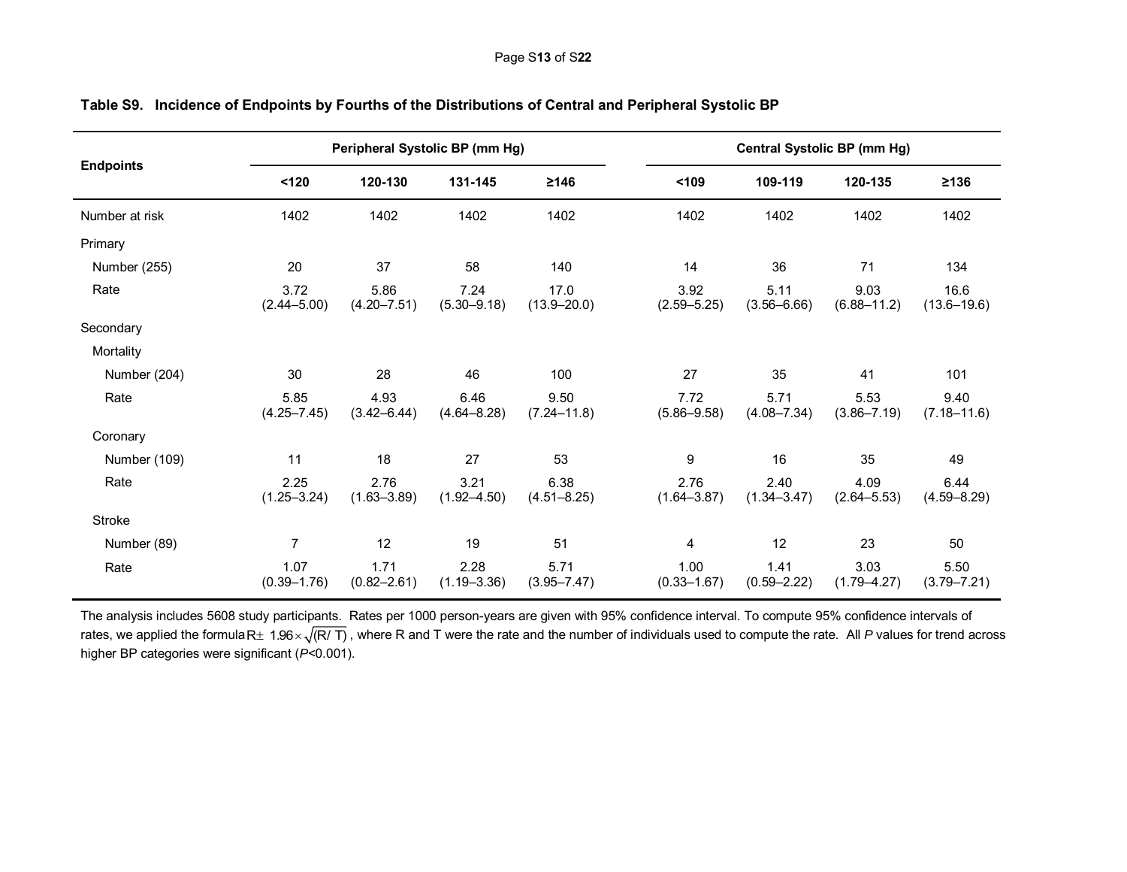| <b>Endpoints</b> |                         | Peripheral Systolic BP (mm Hg) |                         |                         |                         |                         | <b>Central Systolic BP (mm Hg)</b> |                         |
|------------------|-------------------------|--------------------------------|-------------------------|-------------------------|-------------------------|-------------------------|------------------------------------|-------------------------|
|                  | 120                     | 120-130                        | 131-145                 | ≥146                    | 109                     | 109-119                 | 120-135                            | $\geq$ 136              |
| Number at risk   | 1402                    | 1402                           | 1402                    | 1402                    | 1402                    | 1402                    | 1402                               | 1402                    |
| Primary          |                         |                                |                         |                         |                         |                         |                                    |                         |
| Number (255)     | 20                      | 37                             | 58                      | 140                     | 14                      | 36                      | 71                                 | 134                     |
| Rate             | 3.72<br>$(2.44 - 5.00)$ | 5.86<br>$(4.20 - 7.51)$        | 7.24<br>$(5.30 - 9.18)$ | 17.0<br>$(13.9 - 20.0)$ | 3.92<br>$(2.59 - 5.25)$ | 5.11<br>$(3.56 - 6.66)$ | 9.03<br>$(6.88 - 11.2)$            | 16.6<br>$(13.6 - 19.6)$ |
| Secondary        |                         |                                |                         |                         |                         |                         |                                    |                         |
| Mortality        |                         |                                |                         |                         |                         |                         |                                    |                         |
| Number (204)     | 30                      | 28                             | 46                      | 100                     | 27                      | 35                      | 41                                 | 101                     |
| Rate             | 5.85<br>$(4.25 - 7.45)$ | 4.93<br>$(3.42 - 6.44)$        | 6.46<br>$(4.64 - 8.28)$ | 9.50<br>$(7.24 - 11.8)$ | 7.72<br>$(5.86 - 9.58)$ | 5.71<br>$(4.08 - 7.34)$ | 5.53<br>$(3.86 - 7.19)$            | 9.40<br>$(7.18 - 11.6)$ |
| Coronary         |                         |                                |                         |                         |                         |                         |                                    |                         |
| Number (109)     | 11                      | 18                             | 27                      | 53                      | 9                       | 16                      | 35                                 | 49                      |
| Rate             | 2.25<br>$(1.25 - 3.24)$ | 2.76<br>$(1.63 - 3.89)$        | 3.21<br>$(1.92 - 4.50)$ | 6.38<br>$(4.51 - 8.25)$ | 2.76<br>$(1.64 - 3.87)$ | 2.40<br>$(1.34 - 3.47)$ | 4.09<br>$(2.64 - 5.53)$            | 6.44<br>$(4.59 - 8.29)$ |
| Stroke           |                         |                                |                         |                         |                         |                         |                                    |                         |
| Number (89)      | 7                       | 12                             | 19                      | 51                      | 4                       | 12                      | 23                                 | 50                      |
| Rate             | 1.07<br>$(0.39 - 1.76)$ | 1.71<br>$(0.82 - 2.61)$        | 2.28<br>$(1.19 - 3.36)$ | 5.71<br>$(3.95 - 7.47)$ | 1.00<br>$(0.33 - 1.67)$ | 1.41<br>$(0.59 - 2.22)$ | 3.03<br>$(1.79 - 4.27)$            | 5.50<br>$(3.79 - 7.21)$ |

# **Table S9. Incidence of Endpoints by Fourths of the Distributions of Central and Peripheral Systolic BP**

The analysis includes 5608 study participants. Rates per 1000 person-years are given with 95% confidence interval. To compute 95% confidence intervals of rates, we applied the formulaR $\pm$  1.96 $\times$ √(R/ T) , where R and T were the rate and the number of individuals used to compute the rate. All *P* values for trend across higher BP categories were significant (*P*<0.001).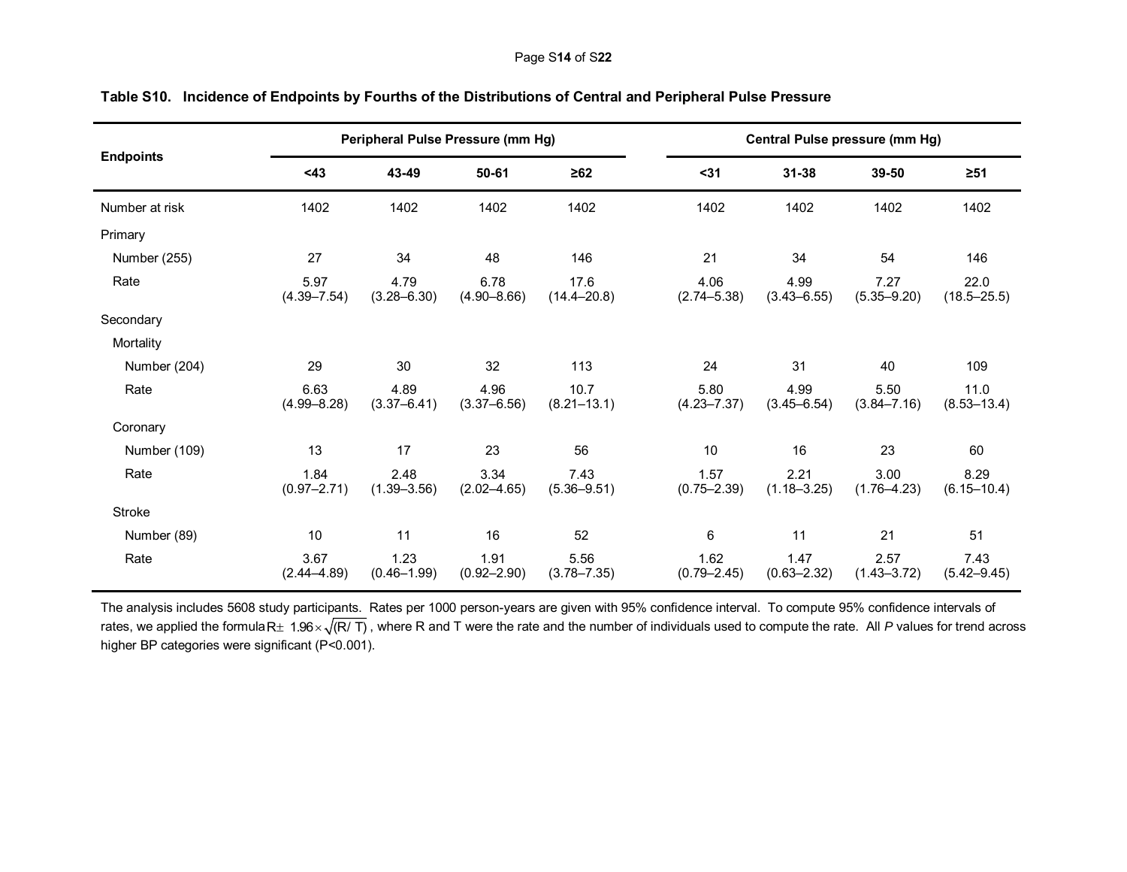|                  |                         | Peripheral Pulse Pressure (mm Hg) |                         |                         |                         |                         | <b>Central Pulse pressure (mm Hg)</b> |                         |
|------------------|-------------------------|-----------------------------------|-------------------------|-------------------------|-------------------------|-------------------------|---------------------------------------|-------------------------|
| <b>Endpoints</b> | $43$                    | 43-49                             | 50-61                   | $\geq 62$               | $31$                    | $31 - 38$               | 39-50                                 | $\geq 51$               |
| Number at risk   | 1402                    | 1402                              | 1402                    | 1402                    | 1402                    | 1402                    | 1402                                  | 1402                    |
| Primary          |                         |                                   |                         |                         |                         |                         |                                       |                         |
| Number (255)     | 27                      | 34                                | 48                      | 146                     | 21                      | 34                      | 54                                    | 146                     |
| Rate             | 5.97<br>$(4.39 - 7.54)$ | 4.79<br>$(3.28 - 6.30)$           | 6.78<br>$(4.90 - 8.66)$ | 17.6<br>$(14.4 - 20.8)$ | 4.06<br>$(2.74 - 5.38)$ | 4.99<br>$(3.43 - 6.55)$ | 7.27<br>$(5.35 - 9.20)$               | 22.0<br>$(18.5 - 25.5)$ |
| Secondary        |                         |                                   |                         |                         |                         |                         |                                       |                         |
| Mortality        |                         |                                   |                         |                         |                         |                         |                                       |                         |
| Number (204)     | 29                      | 30                                | 32                      | 113                     | 24                      | 31                      | 40                                    | 109                     |
| Rate             | 6.63<br>$(4.99 - 8.28)$ | 4.89<br>$(3.37 - 6.41)$           | 4.96<br>$(3.37 - 6.56)$ | 10.7<br>$(8.21 - 13.1)$ | 5.80<br>$(4.23 - 7.37)$ | 4.99<br>$(3.45 - 6.54)$ | 5.50<br>$(3.84 - 7.16)$               | 11.0<br>$(8.53 - 13.4)$ |
| Coronary         |                         |                                   |                         |                         |                         |                         |                                       |                         |
| Number (109)     | 13                      | 17                                | 23                      | 56                      | 10                      | 16                      | 23                                    | 60                      |
| Rate             | 1.84<br>$(0.97 - 2.71)$ | 2.48<br>$(1.39 - 3.56)$           | 3.34<br>$(2.02 - 4.65)$ | 7.43<br>$(5.36 - 9.51)$ | 1.57<br>$(0.75 - 2.39)$ | 2.21<br>$(1.18 - 3.25)$ | 3.00<br>$(1.76 - 4.23)$               | 8.29<br>$(6.15 - 10.4)$ |
| Stroke           |                         |                                   |                         |                         |                         |                         |                                       |                         |
| Number (89)      | 10                      | 11                                | 16                      | 52                      | 6                       | 11                      | 21                                    | 51                      |
| Rate             | 3.67<br>$(2.44 - 4.89)$ | 1.23<br>$(0.46 - 1.99)$           | 1.91<br>$(0.92 - 2.90)$ | 5.56<br>$(3.78 - 7.35)$ | 1.62<br>$(0.79 - 2.45)$ | 1.47<br>$(0.63 - 2.32)$ | 2.57<br>$(1.43 - 3.72)$               | 7.43<br>$(5.42 - 9.45)$ |

# **Table S10. Incidence of Endpoints by Fourths of the Distributions of Central and Peripheral Pulse Pressure**

The analysis includes 5608 study participants. Rates per 1000 person-years are given with 95% confidence interval. To compute 95% confidence intervals of rates, we applied the formulaR $\pm$  1.96 $\times$   $\sqrt{$ (R/ T) , where R and T were the rate and the number of individuals used to compute the rate. All *P* values for trend across higher BP categories were significant (P<0.001).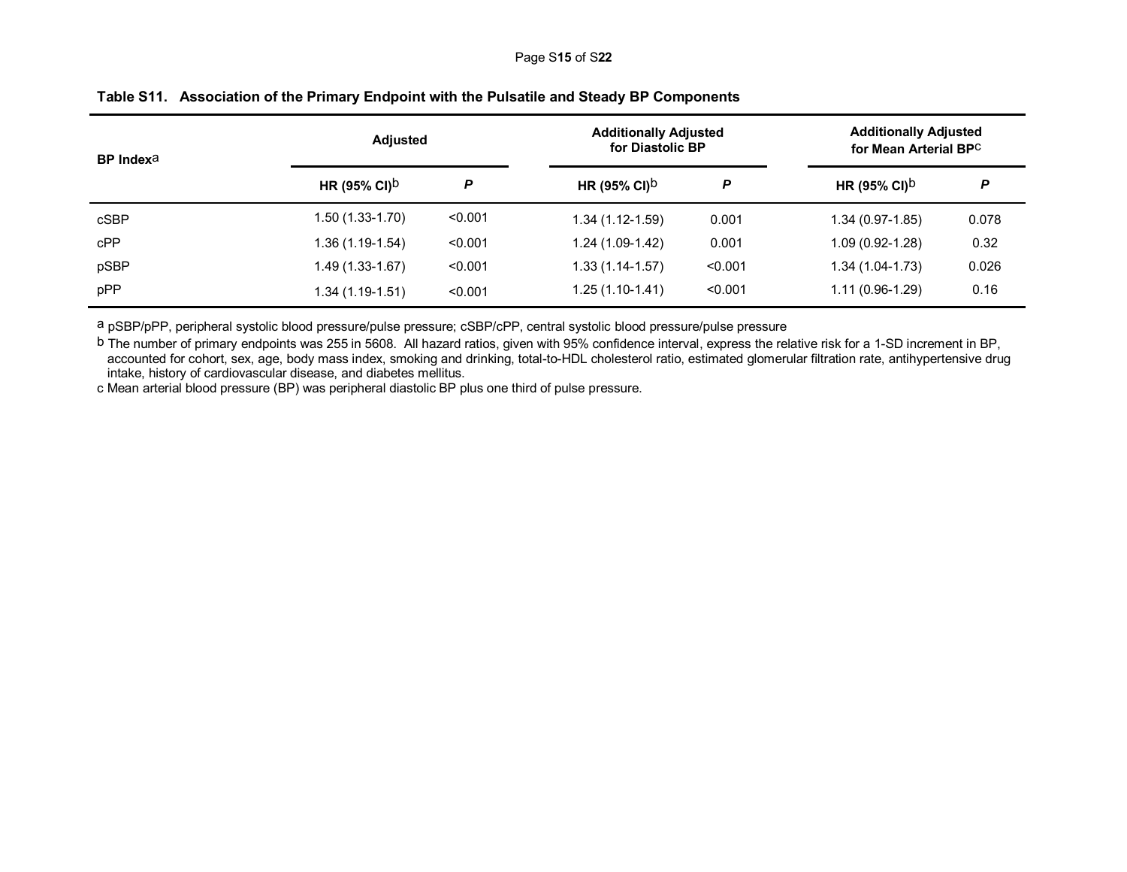| <b>BP</b> Index <sup>a</sup> | <b>Adjusted</b>          |         | <b>Additionally Adjusted</b><br>for Diastolic BP |         | <b>Additionally Adjusted</b><br>for Mean Arterial BPC |       |
|------------------------------|--------------------------|---------|--------------------------------------------------|---------|-------------------------------------------------------|-------|
|                              | HR (95% CI) <sup>b</sup> | P       | HR (95% CI) <sup>b</sup>                         | P       | HR (95% CI) <sup>b</sup>                              | P     |
| cSBP                         | $1.50(1.33-1.70)$        | < 0.001 | $1.34(1.12-1.59)$                                | 0.001   | $1.34(0.97-1.85)$                                     | 0.078 |
| cPP                          | $1.36(1.19-1.54)$        | < 0.001 | 1.24 (1.09-1.42)                                 | 0.001   | $1.09(0.92 - 1.28)$                                   | 0.32  |
| pSBP                         | 1.49 (1.33-1.67)         | < 0.001 | $1.33(1.14-1.57)$                                | < 0.001 | $1.34(1.04-1.73)$                                     | 0.026 |
| pPP                          | $1.34(1.19-1.51)$        | < 0.001 | 1.25 (1.10-1.41)                                 | < 0.001 | $1.11(0.96-1.29)$                                     | 0.16  |

# **Table S11. Association of the Primary Endpoint with the Pulsatile and Steady BP Components**

a pSBP/pPP, peripheral systolic blood pressure/pulse pressure; cSBP/cPP, central systolic blood pressure/pulse pressure

b The number of primary endpoints was 255 in 5608. All hazard ratios, given with 95% confidence interval, express the relative risk for a 1-SD increment in BP, accounted for cohort, sex, age, body mass index, smoking and drinking, total-to-HDL cholesterol ratio, estimated glomerular filtration rate, antihypertensive drug intake, history of cardiovascular disease, and diabetes mellitus.

c Mean arterial blood pressure (BP) was peripheral diastolic BP plus one third of pulse pressure.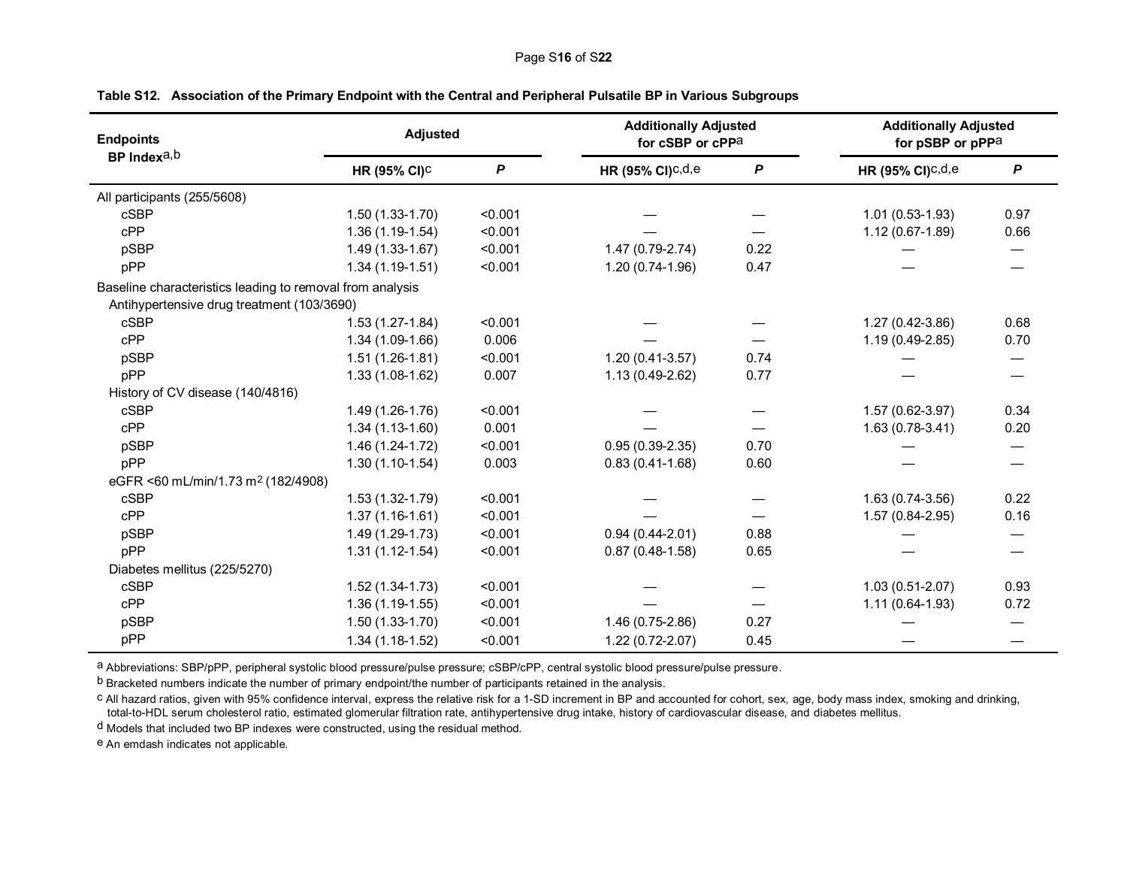| <b>Endpoints</b>                                          | <b>Adjusted</b>          |         | <b>Additionally Adjusted</b><br>for cSBP or cPPa |      |                     | <b>Additionally Adjusted</b><br>for pSBP or pPPa |  |
|-----------------------------------------------------------|--------------------------|---------|--------------------------------------------------|------|---------------------|--------------------------------------------------|--|
| BP Indexa, b                                              | HR (95% CI) <sup>C</sup> | P       | HR (95% CI) $c,d,e$                              | P    | HR (95% CI) $c,d,e$ | $\boldsymbol{P}$                                 |  |
| All participants (255/5608)                               |                          |         |                                                  |      |                     |                                                  |  |
| <b>cSBP</b>                                               | $1.50(1.33-1.70)$        | < 0.001 |                                                  |      | $1.01(0.53-1.93)$   | 0.97                                             |  |
| cPP                                                       | $1.36(1.19-1.54)$        | < 0.001 |                                                  |      | $1.12(0.67-1.89)$   | 0.66                                             |  |
| pSBP                                                      | $1.49(1.33-1.67)$        | < 0.001 | 1.47 (0.79-2.74)                                 | 0.22 |                     |                                                  |  |
| pPP                                                       | $1.34(1.19-1.51)$        | < 0.001 | $1.20(0.74-1.96)$                                | 0.47 |                     |                                                  |  |
| Baseline characteristics leading to removal from analysis |                          |         |                                                  |      |                     |                                                  |  |
| Antihypertensive drug treatment (103/3690)                |                          |         |                                                  |      |                     |                                                  |  |
| cSBP                                                      | $1.53(1.27-1.84)$        | < 0.001 |                                                  |      | 1.27 (0.42-3.86)    | 0.68                                             |  |
| cPP                                                       | $1.34(1.09-1.66)$        | 0.006   |                                                  |      | $1.19(0.49-2.85)$   | 0.70                                             |  |
| pSBP                                                      | $1.51(1.26-1.81)$        | < 0.001 | $1.20(0.41-3.57)$                                | 0.74 |                     |                                                  |  |
| pPP                                                       | $1.33(1.08-1.62)$        | 0.007   | $1.13(0.49-2.62)$                                | 0.77 |                     |                                                  |  |
| History of CV disease (140/4816)                          |                          |         |                                                  |      |                     |                                                  |  |
| cSBP                                                      | $1.49(1.26-1.76)$        | < 0.001 |                                                  |      | 1.57 (0.62-3.97)    | 0.34                                             |  |
| cPP                                                       | $1.34(1.13-1.60)$        | 0.001   |                                                  |      | $1.63(0.78-3.41)$   | 0.20                                             |  |
| pSBP                                                      | $1.46(1.24-1.72)$        | < 0.001 | $0.95(0.39-2.35)$                                | 0.70 |                     |                                                  |  |
| pPP                                                       | $1.30(1.10-1.54)$        | 0.003   | $0.83(0.41-1.68)$                                | 0.60 |                     |                                                  |  |
| eGFR <60 mL/min/1.73 m <sup>2</sup> (182/4908)            |                          |         |                                                  |      |                     |                                                  |  |
| cSBP                                                      | $1.53(1.32 - 1.79)$      | < 0.001 |                                                  |      | 1.63 (0.74-3.56)    | 0.22                                             |  |
| cPP                                                       | $1.37(1.16-1.61)$        | < 0.001 |                                                  |      | $1.57(0.84-2.95)$   | 0.16                                             |  |
| pSBP                                                      | $1.49(1.29-1.73)$        | < 0.001 | $0.94(0.44 - 2.01)$                              | 0.88 |                     |                                                  |  |
| pPP                                                       | $1.31(1.12-1.54)$        | < 0.001 | $0.87(0.48-1.58)$                                | 0.65 |                     |                                                  |  |
| Diabetes mellitus (225/5270)                              |                          |         |                                                  |      |                     |                                                  |  |
| cSBP                                                      | $1.52(1.34-1.73)$        | < 0.001 |                                                  |      | $1.03(0.51-2.07)$   | 0.93                                             |  |
| cPP                                                       | $1.36(1.19-1.55)$        | < 0.001 |                                                  |      | $1.11(0.64-1.93)$   | 0.72                                             |  |
| pSBP                                                      | $1.50(1.33-1.70)$        | < 0.001 | 1.46 (0.75-2.86)                                 | 0.27 |                     |                                                  |  |
| pPP                                                       | $1.34(1.18-1.52)$        | < 0.001 | $1.22(0.72 - 2.07)$                              | 0.45 |                     |                                                  |  |

# **Table S12. Association of the Primary Endpoint with the Central and Peripheral Pulsatile BP in Various Subgroups**

a Abbreviations: SBP/pPP, peripheral systolic blood pressure/pulse pressure; cSBP/cPP, central systolic blood pressure/pulse pressure.

b Bracketed numbers indicate the number of primary endpoint/the number of participants retained in the analysis.

c All hazard ratios, given with 95% confidence interval, express the relative risk for a 1-SD increment in BP and accounted for cohort, sex, age, body mass index, smoking and drinking, total-to-HDL serum cholesterol ratio, estimated glomerular filtration rate, antihypertensive drug intake, history of cardiovascular disease, and diabetes mellitus.

d Models that included two BP indexes were constructed, using the residual method.

e An emdash indicates not applicable.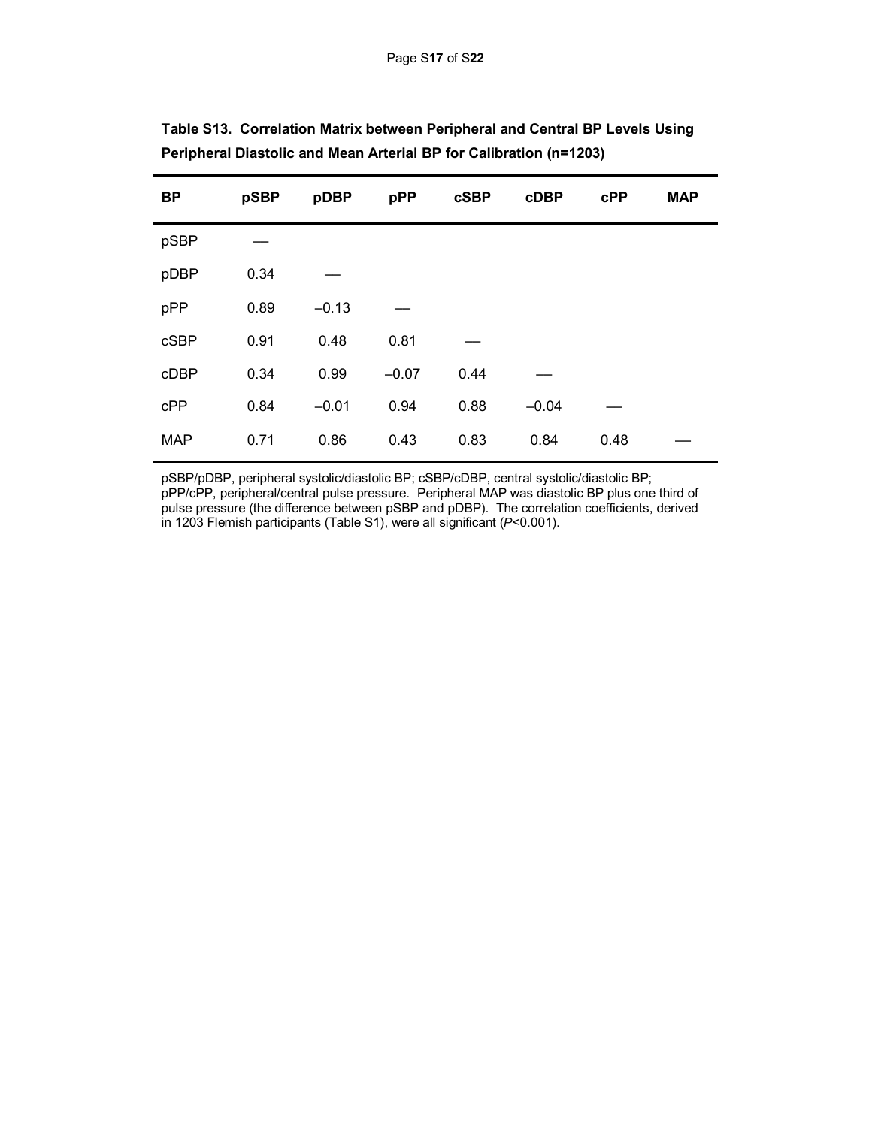| <b>BP</b>   | pSBP | pDBP    | pPP     | <b>cSBP</b> | <b>cDBP</b> | cPP  | <b>MAP</b> |
|-------------|------|---------|---------|-------------|-------------|------|------------|
| pSBP        |      |         |         |             |             |      |            |
| pDBP        | 0.34 |         |         |             |             |      |            |
| pPP         | 0.89 | $-0.13$ |         |             |             |      |            |
| <b>cSBP</b> | 0.91 | 0.48    | 0.81    |             |             |      |            |
| cDBP        | 0.34 | 0.99    | $-0.07$ | 0.44        |             |      |            |
| cPP         | 0.84 | $-0.01$ | 0.94    | 0.88        | $-0.04$     |      |            |
| <b>MAP</b>  | 0.71 | 0.86    | 0.43    | 0.83        | 0.84        | 0.48 |            |

| Table S13. Correlation Matrix between Peripheral and Central BP Levels Using |  |  |
|------------------------------------------------------------------------------|--|--|
| Peripheral Diastolic and Mean Arterial BP for Calibration (n=1203)           |  |  |

pSBP/pDBP, peripheral systolic/diastolic BP; cSBP/cDBP, central systolic/diastolic BP; pPP/cPP, peripheral/central pulse pressure. Peripheral MAP was diastolic BP plus one third of pulse pressure (the difference between pSBP and pDBP). The correlation coefficients, derived in 1203 Flemish participants (Table S1), were all significant (*P*<0.001).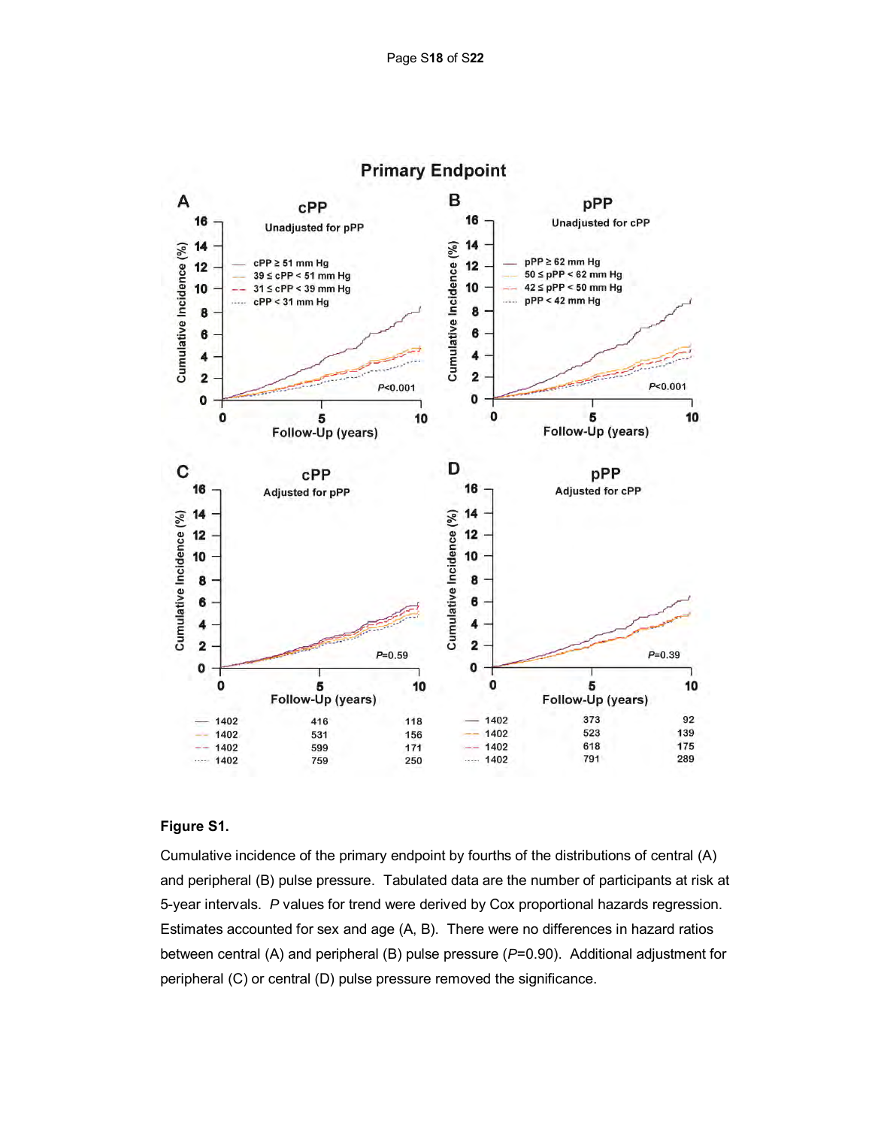

## **Figure S1.**

Cumulative incidence of the primary endpoint by fourths of the distributions of central (A) and peripheral (B) pulse pressure. Tabulated data are the number of participants at risk at 5-year intervals. *P* values for trend were derived by Cox proportional hazards regression. Estimates accounted for sex and age (A, B). There were no differences in hazard ratios between central (A) and peripheral (B) pulse pressure (*P*=0.90). Additional adjustment for peripheral (C) or central (D) pulse pressure removed the significance.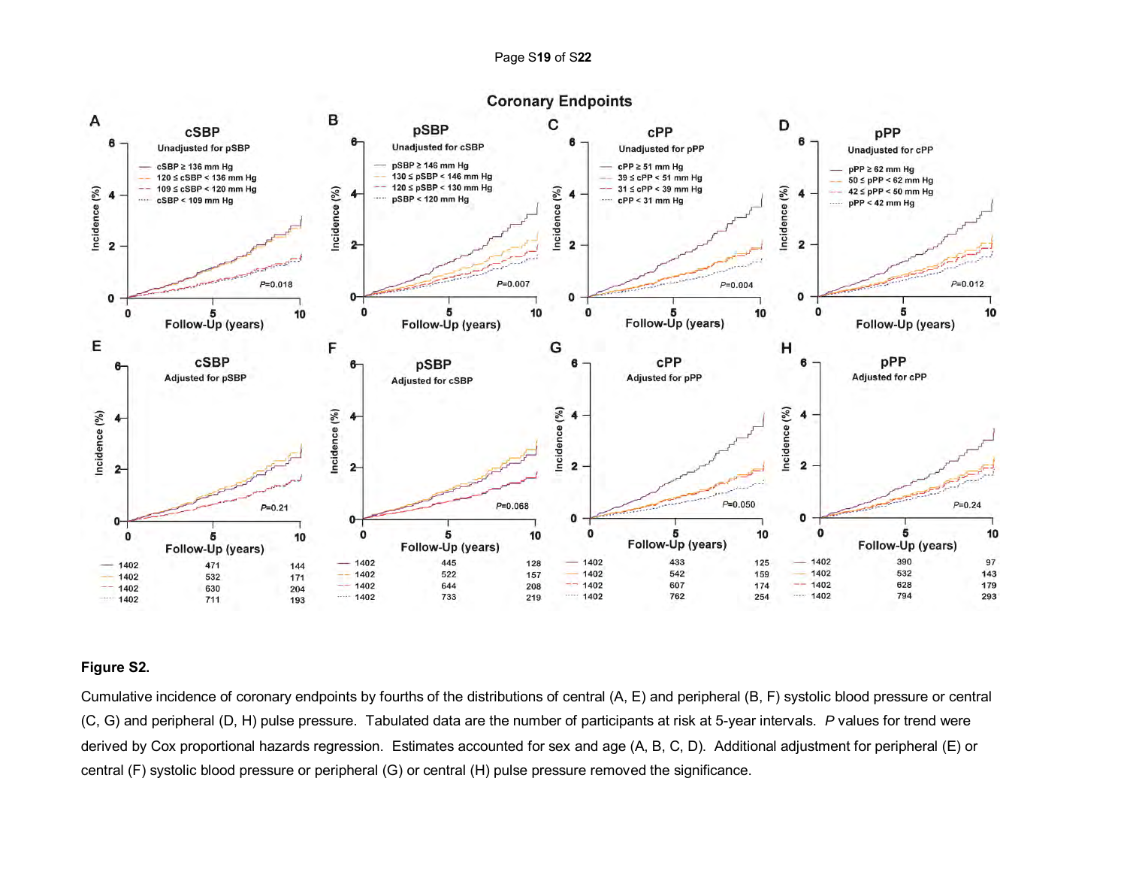

# **Figure S2.**

Cumulative incidence of coronary endpoints by fourths of the distributions of central (A, E) and peripheral (B, F) systolic blood pressure or central (C, G) and peripheral (D, H) pulse pressure. Tabulated data are the number of participants at risk at 5-year intervals. *P* values for trend were derived by Cox proportional hazards regression. Estimates accounted for sex and age (A, B, C, D). Additional adjustment for peripheral (E) or central (F) systolic blood pressure or peripheral (G) or central (H) pulse pressure removed the significance.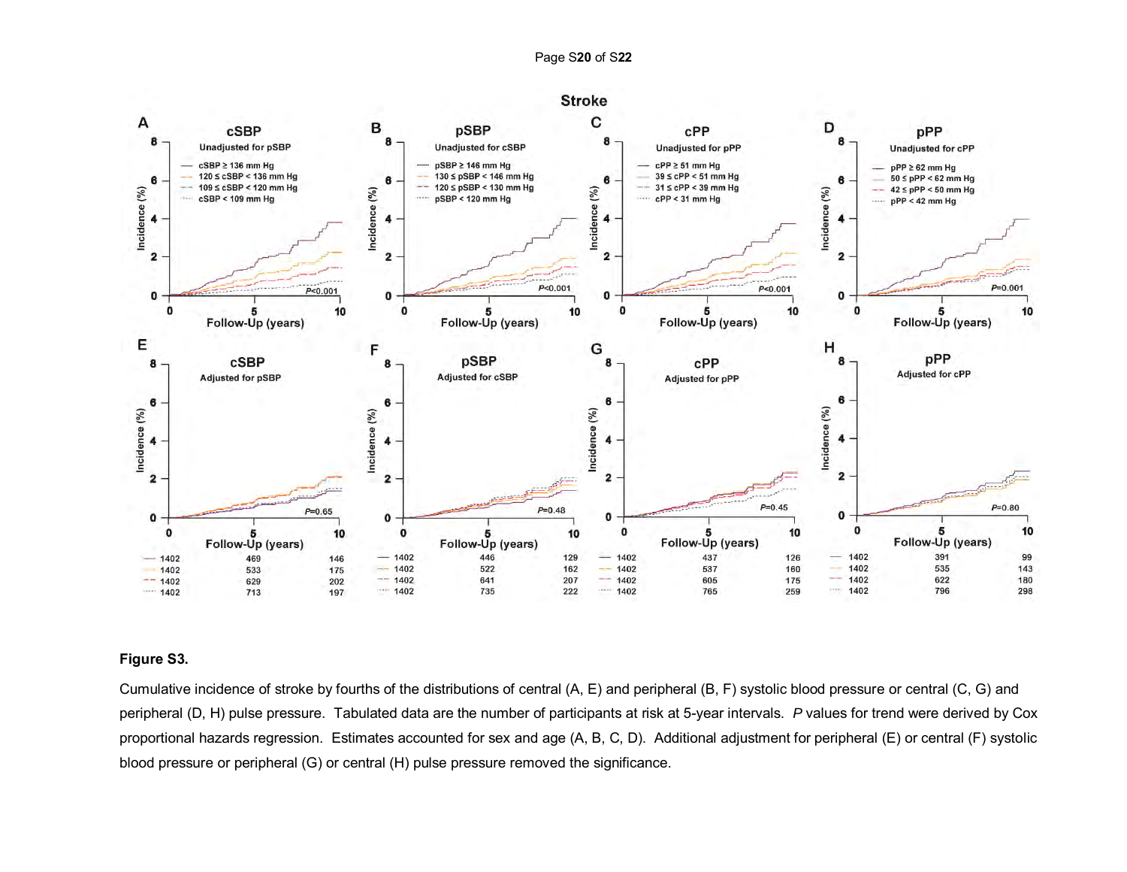

# **Figure S3.**

Cumulative incidence of stroke by fourths of the distributions of central (A, E) and peripheral (B, F) systolic blood pressure or central (C, G) and peripheral (D, H) pulse pressure. Tabulated data are the number of participants at risk at 5-year intervals. *P* values for trend were derived by Cox proportional hazards regression. Estimates accounted for sex and age (A, B, C, D). Additional adjustment for peripheral (E) or central (F) systolic blood pressure or peripheral (G) or central (H) pulse pressure removed the significance.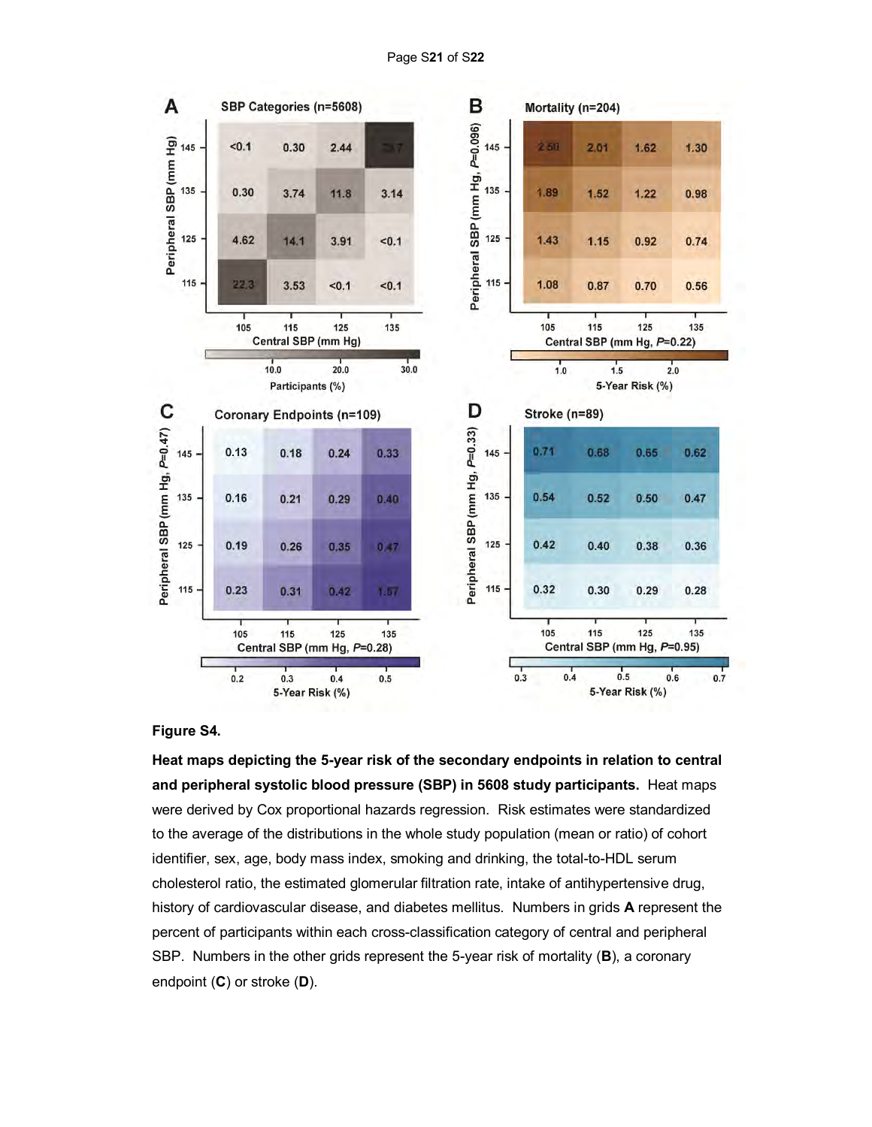



**Heat maps depicting the 5-year risk of the secondary endpoints in relation to central and peripheral systolic blood pressure (SBP) in 5608 study participants.** Heat maps were derived by Cox proportional hazards regression. Risk estimates were standardized to the average of the distributions in the whole study population (mean or ratio) of cohort identifier, sex, age, body mass index, smoking and drinking, the total-to-HDL serum cholesterol ratio, the estimated glomerular filtration rate, intake of antihypertensive drug, history of cardiovascular disease, and diabetes mellitus. Numbers in grids **A** represent the percent of participants within each cross-classification category of central and peripheral SBP. Numbers in the other grids represent the 5-year risk of mortality (**B**), a coronary endpoint (**C**) or stroke (**D**).